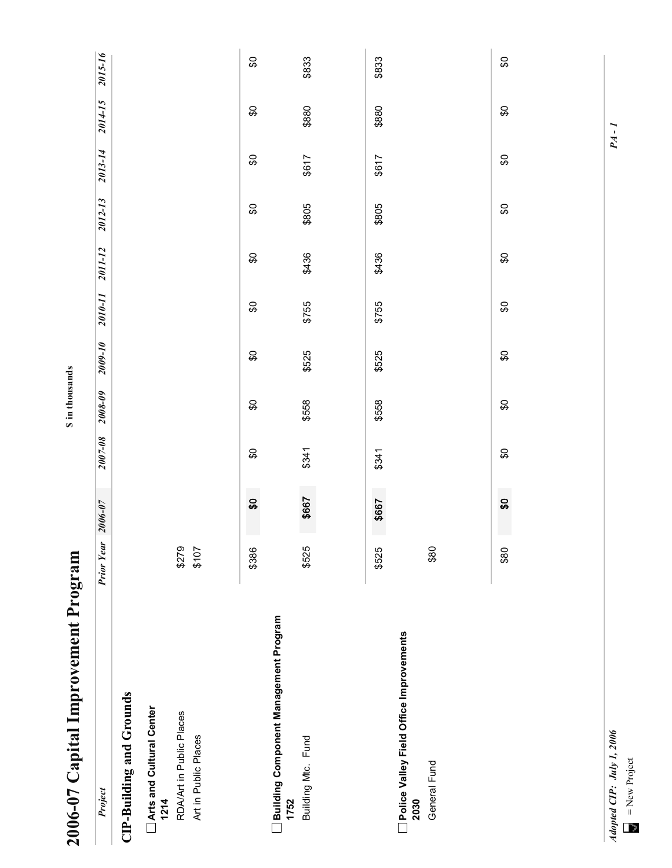| 2006-07 Capital Improvement Program                             |                   |             |             | \$ in thousands |         |         |         |         |         |         |         |
|-----------------------------------------------------------------|-------------------|-------------|-------------|-----------------|---------|---------|---------|---------|---------|---------|---------|
| Project                                                         | <b>Prior Year</b> | $2006 - 07$ | $2007 - 08$ | $2008 - 09$     | 2009-10 | 2010-11 | 2011-12 | 2012-13 | 2013-14 | 2014-15 | 2015-16 |
| <b>CIP-Building and Grounds</b>                                 |                   |             |             |                 |         |         |         |         |         |         |         |
| Arts and Cultural Center<br>1214                                |                   |             |             |                 |         |         |         |         |         |         |         |
| RDA/Art in Public Places                                        | \$279             |             |             |                 |         |         |         |         |         |         |         |
| Art in Public Places                                            | \$107             |             |             |                 |         |         |         |         |         |         |         |
|                                                                 | \$386             | န္တ         | \$          | S               | \$      | \$O     | \$O     | æ       | S       | \$      | \$      |
| Building Component Management Program<br>1752                   |                   |             |             |                 |         |         |         |         |         |         |         |
| Building Mtc. Fund                                              | \$525             | \$667       | \$341       | \$558           | \$525   | \$755   | \$436   | \$805   | \$617   | \$880   | \$833   |
|                                                                 |                   |             |             |                 |         |         |         |         |         |         |         |
|                                                                 | \$525             | \$667       | \$341       | \$558           | \$525   | \$755   | \$436   | \$8805  | \$617   | \$880   | \$833   |
| Police Valley Field Office Improvements<br>General Fund<br>2030 | \$80              |             |             |                 |         |         |         |         |         |         |         |
|                                                                 |                   |             |             |                 |         |         |         |         |         |         |         |
|                                                                 | \$80              | \$          | \$          | S               | \$      | \$O     | \$O     | \$O     | \$O     | \$O     | S       |
|                                                                 |                   |             |             |                 |         |         |         |         |         |         |         |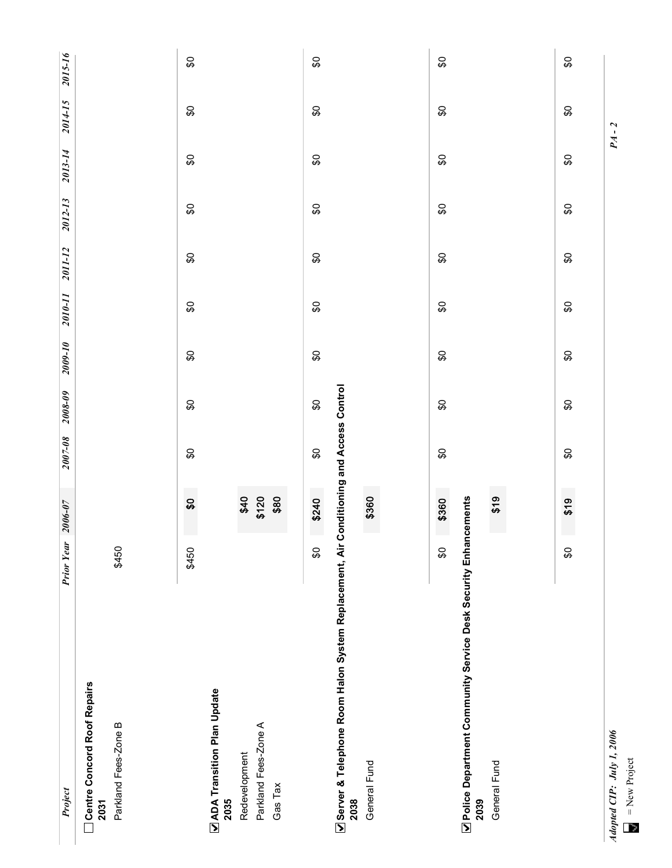| Project                                                                                       | <b>Prior Year</b> | $2006 - 07$           | $2007 - 08$ | $2008 - 09$               | 2009-10  | 2010-11 | 2011-12                   | 2012-13  | 2013-14  | 2014-15 | 2015-16  |
|-----------------------------------------------------------------------------------------------|-------------------|-----------------------|-------------|---------------------------|----------|---------|---------------------------|----------|----------|---------|----------|
| Centre Concord Roof Repairs<br>Parkland Fees-Zone B<br>2031                                   | \$450             |                       |             |                           |          |         |                           |          |          |         |          |
|                                                                                               | \$450             | $\pmb{\mathcal{G}}$   | \$          | \$                        | œ        | \$O     | \$O                       | \$       | \$       | \$      | \$       |
| ADA Transition Plan Update<br>2035                                                            |                   |                       |             |                           |          |         |                           |          |          |         |          |
| Parkland Fees-Zone A<br>Redevelopment<br>Gas Tax                                              |                   | \$40<br>\$120<br>\$80 |             |                           |          |         |                           |          |          |         |          |
|                                                                                               | œ                 | \$240                 | <b>G</b>    | $\mathbb{S}^{\mathbb{O}}$ | <b>C</b> | \$O     | $\boldsymbol{\mathsf{S}}$ | œ        | œ        | \$      | \$       |
|                                                                                               |                   |                       |             |                           |          |         |                           |          |          |         |          |
| Server & Telephone Room Halon System Replacement, Air Conditioning and Access Control<br>2038 |                   |                       |             |                           |          |         |                           |          |          |         |          |
| General Fund                                                                                  |                   | \$360                 |             |                           |          |         |                           |          |          |         |          |
|                                                                                               |                   |                       |             |                           |          |         |                           |          |          |         |          |
|                                                                                               | œ                 | \$360                 | œ           | œ                         | S        | \$O     | \$O                       | \$       | œ        | \$      | S        |
| Police Department Community Service Desk Security Enhancements<br>2039                        |                   |                       |             |                           |          |         |                           |          |          |         |          |
| General Fund                                                                                  |                   | \$19                  |             |                           |          |         |                           |          |          |         |          |
|                                                                                               |                   |                       |             |                           |          |         |                           |          |          |         |          |
|                                                                                               | œ                 | \$19                  | <b>C</b>    | <b>C</b>                  | SS,      | \$Ó     | \$Ó                       | <b>C</b> | <b>C</b> | \$      | <b>C</b> |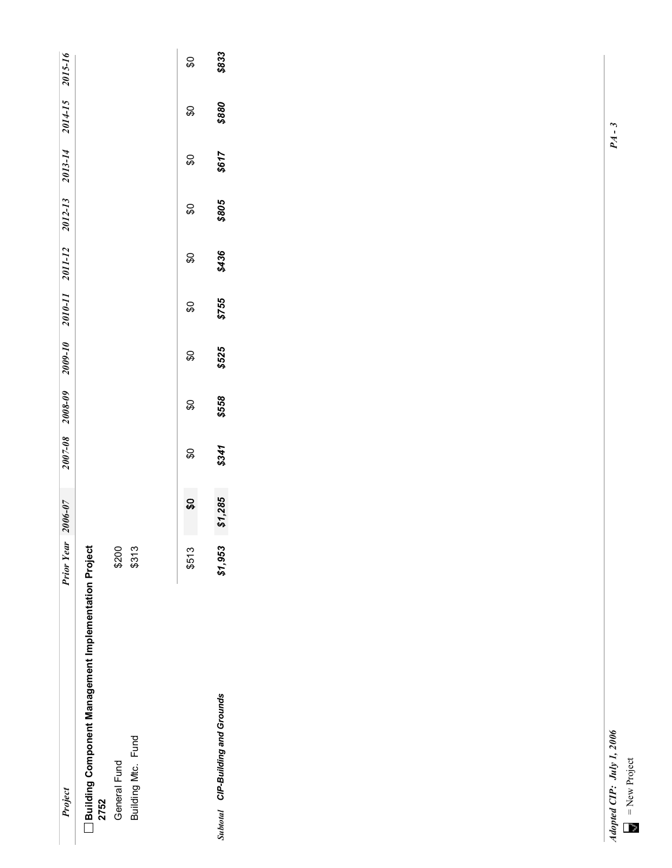| Project                                                      | <b>Prior Year</b> | 2006-07 |       |       | 2007-08 2008-09 2009-10 2010-11 2011-12 |       |       |       |       | 2012-13 2013-14 2014-15 2015-16 |       |
|--------------------------------------------------------------|-------------------|---------|-------|-------|-----------------------------------------|-------|-------|-------|-------|---------------------------------|-------|
| Building Component Management Implementation Project<br>2752 |                   |         |       |       |                                         |       |       |       |       |                                 |       |
| General Fund                                                 | \$200             |         |       |       |                                         |       |       |       |       |                                 |       |
| Building Mtc. Fund                                           | \$313             |         |       |       |                                         |       |       |       |       |                                 |       |
|                                                              |                   |         |       |       |                                         |       |       |       |       |                                 |       |
|                                                              | \$513             | င္တ     | SO    | S     | \$O                                     | \$O   | SO    | SS    | SO    | \$                              | S     |
| Subtotal CIP-Building and Grounds                            | \$1,953           | \$1,285 | \$341 | \$558 | \$525                                   | \$755 | \$436 | \$805 | \$617 | \$880                           | \$833 |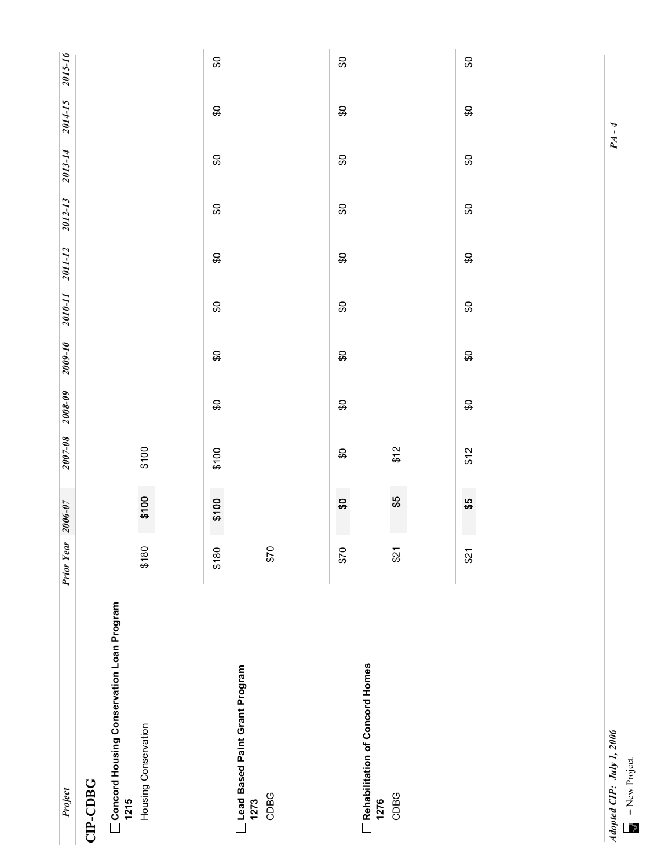| Project                                             | <b>Prior Year</b> | $2006 - 07$               | $2007 - 08$ | $2008 - 09$ | 01-6007 | 2010-11                   | 2011-12                   | 2012-13 | 2013-14  | 2014-15        | 2015-16 |
|-----------------------------------------------------|-------------------|---------------------------|-------------|-------------|---------|---------------------------|---------------------------|---------|----------|----------------|---------|
| CIP-CDBG                                            |                   |                           |             |             |         |                           |                           |         |          |                |         |
| □ Concord Housing Conservation Loan Program<br>1215 |                   |                           |             |             |         |                           |                           |         |          |                |         |
| Housing Conservation                                | \$180             | \$100                     | \$100       |             |         |                           |                           |         |          |                |         |
|                                                     |                   |                           |             |             |         |                           |                           |         |          |                |         |
|                                                     | \$180             | \$100                     | \$100       | œ           | \$      | $\boldsymbol{\mathsf{S}}$ | \$O                       | œ       | œ        | œ              | œ       |
| │Lead Based Paint Grant Program<br>1273             |                   |                           |             |             |         |                           |                           |         |          |                |         |
| CDBG                                                | \$70              |                           |             |             |         |                           |                           |         |          |                |         |
|                                                     |                   |                           |             |             |         |                           |                           |         |          |                |         |
|                                                     | \$70              | $\boldsymbol{\mathsf{S}}$ | œ           | \$          | œ       | $\boldsymbol{\mathsf{S}}$ | $\boldsymbol{\mathsf{S}}$ | œ       | S        | $\mathbb{S}^1$ | \$      |
| Rehabilitation of Concord Homes<br>1276             |                   |                           |             |             |         |                           |                           |         |          |                |         |
| CDBG                                                | \$21              | \$5                       | \$12        |             |         |                           |                           |         |          |                |         |
|                                                     |                   |                           |             |             |         |                           |                           |         |          |                |         |
|                                                     | \$21              | \$                        | \$12        | œ           | œ       | $\mathfrak{S}$            | $\boldsymbol{\mathsf{S}}$ | œ       | <b>C</b> | œ              | œ       |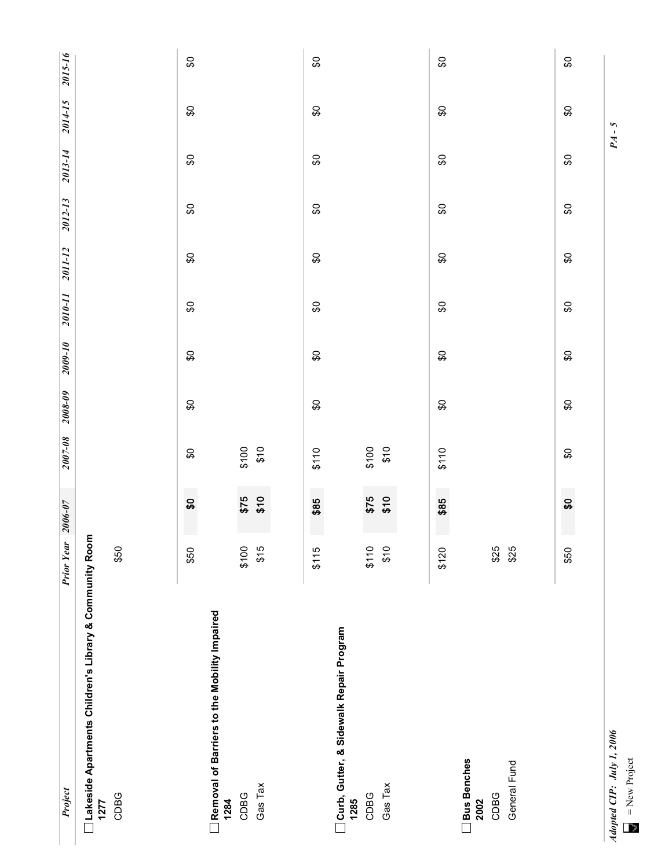| Project                                                                 | Prior Year | $2006 - 07$               | $2007 - 08$    | $2008 - 09$ | $2009 - 10$ | 2010-11 | 2011-12                   | 2012-13             | 2013-14 | 2014-15 | 2015-16 |
|-------------------------------------------------------------------------|------------|---------------------------|----------------|-------------|-------------|---------|---------------------------|---------------------|---------|---------|---------|
| __<br> Lakeside Apartments Children's Library & Community Room<br> 1277 |            |                           |                |             |             |         |                           |                     |         |         |         |
| CDBG                                                                    | \$50       |                           |                |             |             |         |                           |                     |         |         |         |
|                                                                         |            |                           |                |             |             |         |                           |                     |         |         |         |
|                                                                         | \$50       | $\boldsymbol{\mathsf{S}}$ | œ              | œ           | \$          | \$O     | $\mathfrak{S}$            | \$                  | œ       | \$      | œ       |
| Removal of Barriers to the Mobility Impaired<br>1284                    |            |                           |                |             |             |         |                           |                     |         |         |         |
| CDBG                                                                    | \$100      |                           |                |             |             |         |                           |                     |         |         |         |
| Gas Tax                                                                 | \$15       | $616$<br>\$10             | $6100$<br>\$10 |             |             |         |                           |                     |         |         |         |
|                                                                         |            |                           |                |             |             |         |                           |                     |         |         |         |
|                                                                         | \$115      | \$85                      | \$110          | S           | S           | \$      | \$O                       | S                   | S       | S       | S       |
| Curb, Gutter, & Sidewalk Repair Program<br>1285                         |            |                           |                |             |             |         |                           |                     |         |         |         |
| CDBG                                                                    | 6110       |                           |                |             |             |         |                           |                     |         |         |         |
| Gas Tax                                                                 | \$10       | $675$<br>\$10             | $018$<br>\$100 |             |             |         |                           |                     |         |         |         |
|                                                                         |            |                           |                |             |             |         |                           |                     |         |         |         |
|                                                                         | \$120      | \$85                      | \$110          | œ           | œ           | \$      | $\boldsymbol{\mathsf{S}}$ | œ                   | œ       | œ       | œ       |
| Bus Benches<br>2002                                                     |            |                           |                |             |             |         |                           |                     |         |         |         |
| CDBG                                                                    | \$25       |                           |                |             |             |         |                           |                     |         |         |         |
| General Fund                                                            | \$25       |                           |                |             |             |         |                           |                     |         |         |         |
|                                                                         |            |                           |                |             |             |         |                           |                     |         |         |         |
|                                                                         | \$50       | \$0                       | \$             | <b>C</b>    | <b>C</b>    | \$Ó     | \$Ó                       | $\pmb{\mathcal{Q}}$ | œ       | \$      | œ       |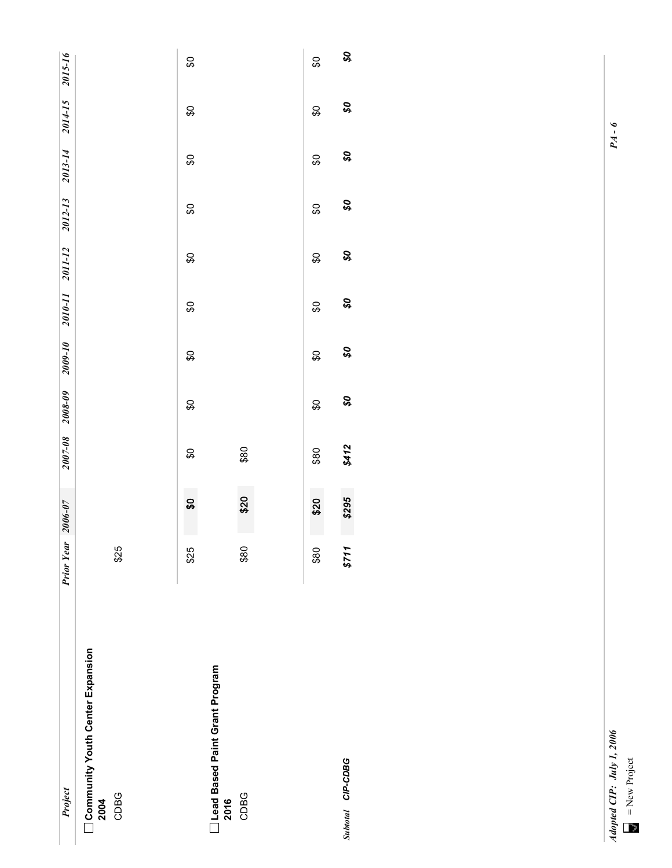| Project                                          | <b>Prior Year</b> | $2006 - 07$ |       |          |     |                           |                             |                             |     | 2007-08 2008-09 2009-10 2010-11 2011-12 2012-13 2013-14 2014-15 2015-16 |     |
|--------------------------------------------------|-------------------|-------------|-------|----------|-----|---------------------------|-----------------------------|-----------------------------|-----|-------------------------------------------------------------------------|-----|
| Community Youth Center Expansion<br>CDBG<br>2004 | \$25              |             |       |          |     |                           |                             |                             |     |                                                                         |     |
| Lead Based Paint Grant Program                   | \$25              | \$          | ₿     | \$O      | \$O | $\boldsymbol{\mathsf{S}}$ | \$O                         | œ                           | \$O | œ                                                                       | ₿   |
| CDBG<br>2016                                     | \$80              | \$20        | \$80  |          |     |                           |                             |                             |     |                                                                         |     |
|                                                  | \$80              | \$20        | \$80  | œ        | œ   | \$O                       | \$0                         | œ                           | \$O | œ                                                                       | œ   |
| Subtotal CIP-CDBG                                | \$711             | \$295       | \$412 | $\sigma$ | O\$ | 9\$                       | $\boldsymbol{\mathfrak{g}}$ | $\boldsymbol{\mathfrak{g}}$ | 98  | O\$                                                                     | O\$ |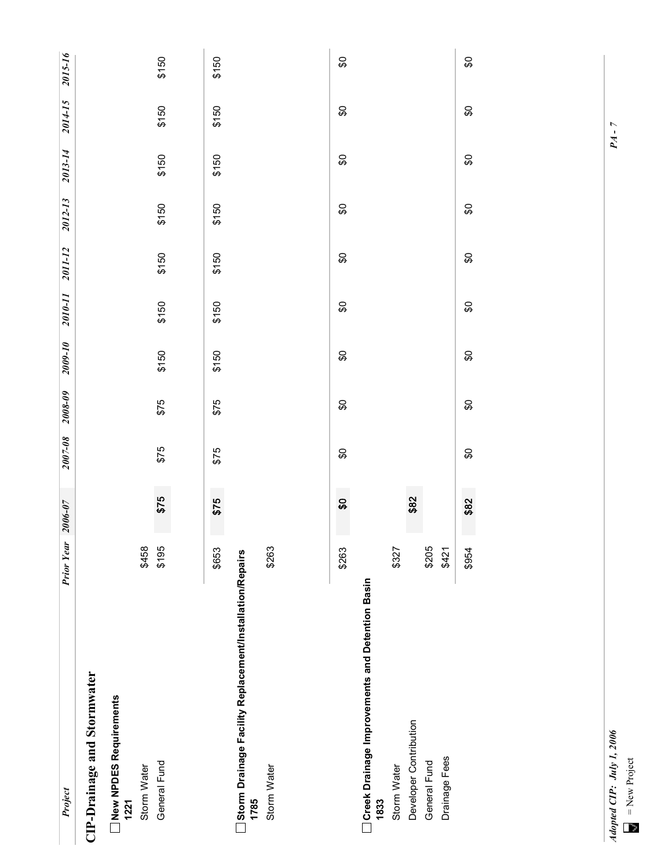| Project                                                          | <b>Prior Year</b> | $2006 - 07$         | $2007 - 08$ | $2008 - 09$ | $2009 - 10$ | 2010-11                   | 2011-12 | 2012-13 | 2013-14 | 2014-15             | 2015-16 |
|------------------------------------------------------------------|-------------------|---------------------|-------------|-------------|-------------|---------------------------|---------|---------|---------|---------------------|---------|
| <b>CIP-Drainage and Stormwater</b>                               |                   |                     |             |             |             |                           |         |         |         |                     |         |
| New NPDES Requirements<br>1221                                   |                   |                     |             |             |             |                           |         |         |         |                     |         |
| Storm Water                                                      | \$458             |                     |             |             |             |                           |         |         |         |                     |         |
| General Fund                                                     | \$195             | \$75                | \$75        | \$75        | \$150       | \$150                     | \$150   | \$150   | \$150   | \$150               | \$150   |
|                                                                  |                   |                     |             |             |             |                           |         |         |         |                     |         |
|                                                                  | \$653             | \$75                | \$75        | \$75        | \$150       | \$150                     | \$150   | \$150   | \$150   | \$150               | \$150   |
| Storm Drainage Facility Replacement/Installation/Repairs<br>1785 |                   |                     |             |             |             |                           |         |         |         |                     |         |
| Storm Water                                                      | \$263             |                     |             |             |             |                           |         |         |         |                     |         |
|                                                                  |                   |                     |             |             |             |                           |         |         |         |                     |         |
|                                                                  |                   |                     |             |             |             |                           |         |         |         |                     |         |
|                                                                  | \$263             | $\pmb{\mathcal{Q}}$ | œ           | œ           | œ           | $\boldsymbol{\mathsf{S}}$ | œ       | œ       | œ       | $\pmb{\mathcal{G}}$ | œ       |
| <b>Creek Drainage Improvements and Detention Basin</b><br>1833   |                   |                     |             |             |             |                           |         |         |         |                     |         |
| Storm Water                                                      | \$327             |                     |             |             |             |                           |         |         |         |                     |         |
| Developer Contribution                                           |                   | \$82                |             |             |             |                           |         |         |         |                     |         |
| General Fund                                                     | \$205             |                     |             |             |             |                           |         |         |         |                     |         |
| Drainage Fees                                                    | \$421             |                     |             |             |             |                           |         |         |         |                     |         |
|                                                                  | \$954             | \$82                | \$          | S           | œ           | $\mathfrak{S}$            | \$      | œ       | œ       | \$                  | œ       |
|                                                                  |                   |                     |             |             |             |                           |         |         |         |                     |         |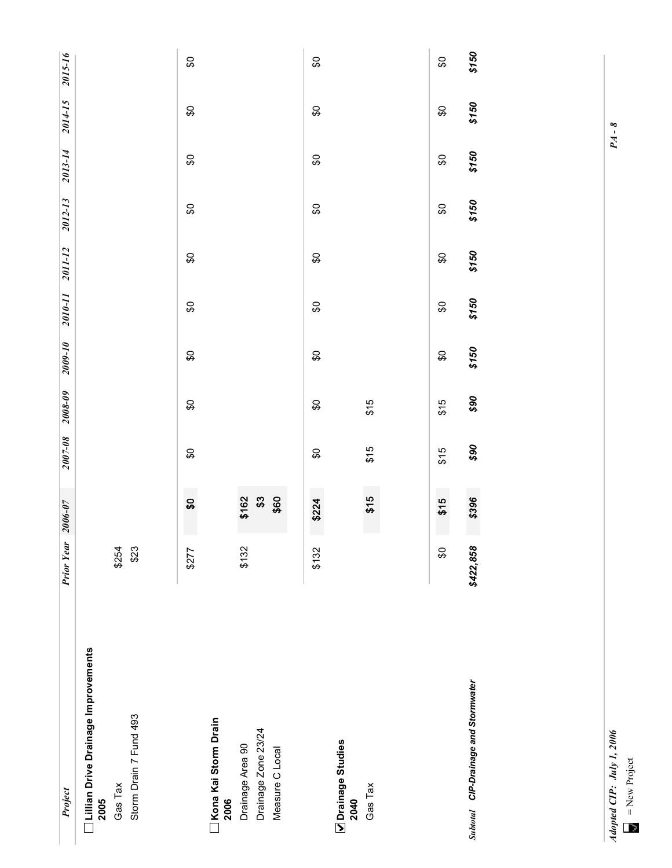| Project                                            | <b>Prior Year</b> | $2006 - 07$             | $2007 - 08$ | $2008 - 09$ | $2009 - 10$ | 2010-11 | 2011-12                   | 2012-13 | 2013-14 | 2014-15 | 2015-16 |
|----------------------------------------------------|-------------------|-------------------------|-------------|-------------|-------------|---------|---------------------------|---------|---------|---------|---------|
| <b>Lillian Drive Drainage Improvements</b><br>2005 |                   |                         |             |             |             |         |                           |         |         |         |         |
| Gas Tax                                            | \$254             |                         |             |             |             |         |                           |         |         |         |         |
| Storm Drain 7 Fund 493                             | \$23              |                         |             |             |             |         |                           |         |         |         |         |
|                                                    | \$277             | \$                      | œ           | œ           | œ           | \$      | \$O                       | œ       | œ       | S)      | œ       |
| Kona Kai Storm Drain<br>2006                       |                   |                         |             |             |             |         |                           |         |         |         |         |
| Drainage Area 90                                   | \$132             |                         |             |             |             |         |                           |         |         |         |         |
| Drainage Zone 23/24                                |                   | $$162$<br>$$3$<br>$$60$ |             |             |             |         |                           |         |         |         |         |
| Measure C Local                                    |                   |                         |             |             |             |         |                           |         |         |         |         |
|                                                    | \$132             | \$224                   | œ           | œ           | SO,         | \$O     | $\boldsymbol{\mathsf{S}}$ | œ       | œ       | œ       | \$O     |
| Drainage Studies<br>2040                           |                   |                         |             |             |             |         |                           |         |         |         |         |
| Gas Tax                                            |                   | \$15                    | \$15        | \$15        |             |         |                           |         |         |         |         |
|                                                    |                   |                         |             |             |             |         |                           |         |         |         |         |
|                                                    | S                 | \$15                    | \$15        | \$15        | œ           | \$O     | \$O                       | œ       | œ       | œ       | œ       |
| Subtotal CIP-Drainage and Stormwater               | \$422,858         | \$396                   | \$90        | \$90        | \$150       | \$150   | \$150                     | \$150   | \$150   | \$150   | \$150   |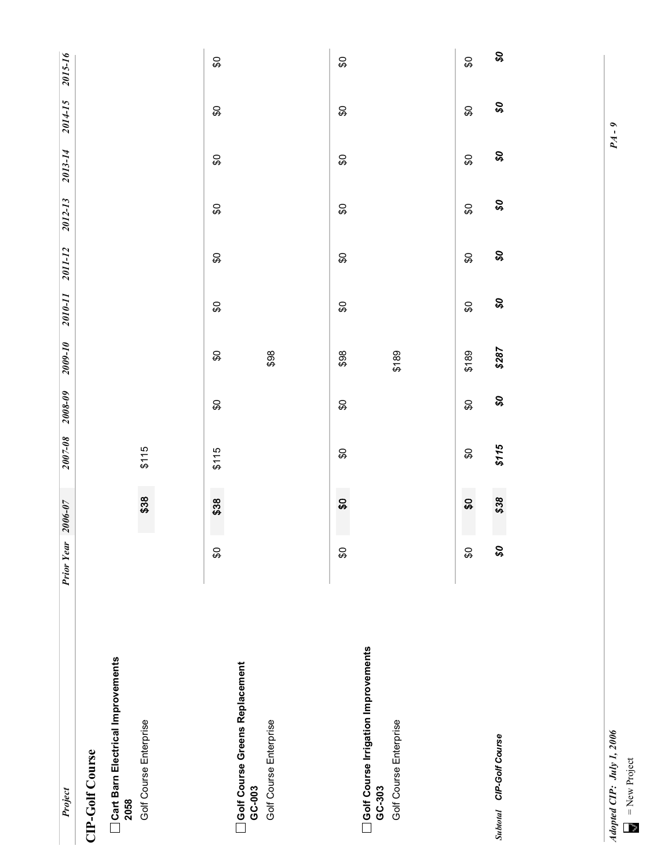| Project                                   | <b>Prior Year</b> | $2006 - 07$               | $2007 - 08$ | $2008 - 09$ | 2009-10 | 2010-11                   | 2011-12        | 2012-13     | 2013-14 | 2014-15 | 2015-16   |
|-------------------------------------------|-------------------|---------------------------|-------------|-------------|---------|---------------------------|----------------|-------------|---------|---------|-----------|
| <b>CIP-Golf Course</b>                    |                   |                           |             |             |         |                           |                |             |         |         |           |
| Cart Barn Electrical Improvements<br>2058 |                   |                           |             |             |         |                           |                |             |         |         |           |
| Golf Course Enterprise                    |                   | \$38                      | \$115       |             |         |                           |                |             |         |         |           |
| Golf Course Greens Replacement            | œ                 | e i<br>\$38               | \$115       | \$          | \$      | \$O                       | \$O            | \$          | \$      | \$O     | œ         |
| Golf Course Enterprise<br>GC-003          |                   |                           |             |             | \$98    |                           |                |             |         |         |           |
| Golf Course Irrigation Improvements       | \$                | $\pmb{\mathfrak{g}}$      | œ           | œ           | \$98    | $\boldsymbol{\mathsf{S}}$ | \$O            | œ           | \$      | \$O     | œ         |
| Golf Course Enterprise<br>GC-303          |                   |                           |             |             | \$189   |                           |                |             |         |         |           |
|                                           | S                 | $\boldsymbol{\mathsf{S}}$ | œ           | œ           | \$189   | \$O                       | \$O            | S)          | œ       | \$      | \$O       |
| Subtotal CIP-Golf Course                  | O\$               | \$38                      | \$115       | OS.         | \$287   | $\sigma$ \$               | $\mathfrak{G}$ | $\sigma$ \$ | SQ      | SQ      | <b>CS</b> |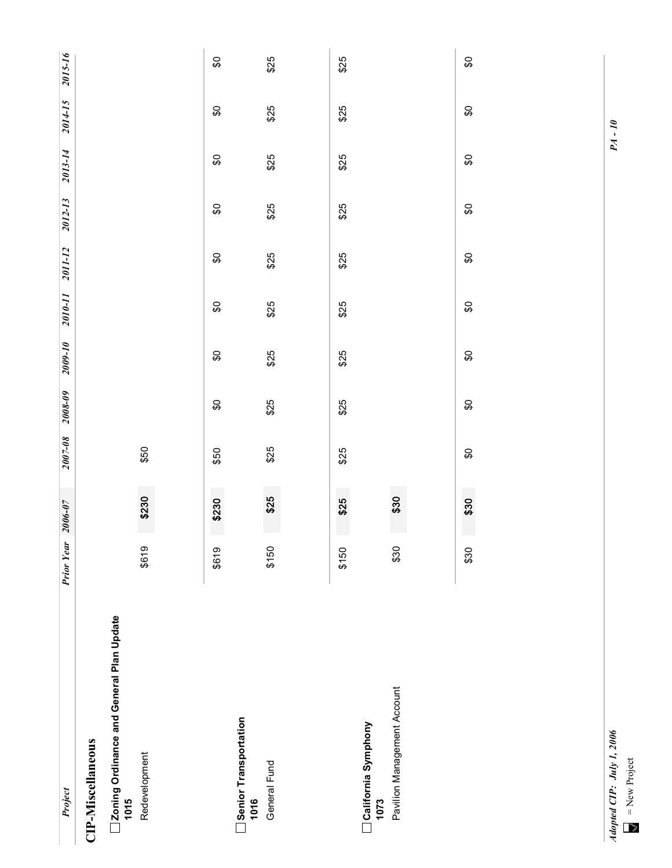| Project                                            | <b>Prior Year</b> | $2006 - 07$ | $2007 - 08$ | $2008 - 09$ | 2009-10 | 2010-11        | 2011-12 | 2012-13 | 2013-14 | 2014-15        | 2015-16 |
|----------------------------------------------------|-------------------|-------------|-------------|-------------|---------|----------------|---------|---------|---------|----------------|---------|
| <b>CIP-Miscellaneous</b>                           |                   |             |             |             |         |                |         |         |         |                |         |
| □ Zoning Ordinance and General Plan Update<br>1015 |                   |             |             |             |         |                |         |         |         |                |         |
| Redevelopment                                      | \$619             | \$230       | \$50        |             |         |                |         |         |         |                |         |
| Senior Transportation<br>1016                      | \$619             | \$230       | \$50        | œ           | œ       | $\mathfrak{S}$ | \$O     | œ       | œ       | $\mathfrak{S}$ | œ       |
| General Fund                                       | \$150             | \$25        | \$25        | \$25        | \$25    | \$25           | \$25    | \$25    | \$25    | \$25           | \$25    |
|                                                    | \$150             | \$25        | \$25        | \$25        | \$25    | \$25           | \$25    | \$25    | \$25    | \$25           | \$25    |
| California Symphony<br>1073                        |                   |             |             |             |         |                |         |         |         |                |         |
| Pavilion Management Account                        | \$30              | \$30        |             |             |         |                |         |         |         |                |         |
|                                                    | \$30              | \$30        | œ           | œ           | œ       | $\mathfrak{S}$ | \$Ó     | \$      | \$      | $\mathfrak{S}$ | \$      |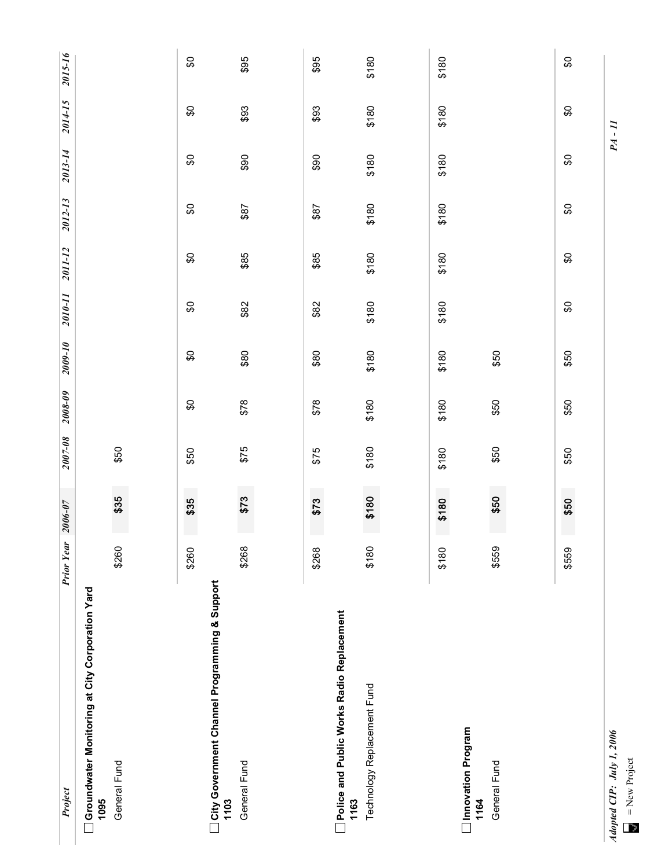| Project                                                 | <b>Prior Year</b> | $2006 - 07$ | $2007 - 08$ | $2008 - 09$ | 2009-10 | 2010-11        | 2011-12        | 2012-13 | 2013-14 | 2014-15 | 2015-16        |
|---------------------------------------------------------|-------------------|-------------|-------------|-------------|---------|----------------|----------------|---------|---------|---------|----------------|
| Groundwater Monitoring at City Corporation Yard<br>1095 |                   |             |             |             |         |                |                |         |         |         |                |
| General Fund                                            | \$260             | \$35        | \$50        |             |         |                |                |         |         |         |                |
| City Government Channel Programming & Support<br>1103   | \$260             | \$35        | \$50        | \$O         | S       | $\mathfrak{S}$ | \$O            | \$      | œ       | \$      | \$O            |
| General Fund                                            | \$268             | \$73        | \$75        | \$78        | \$80    | \$82           | \$85           | \$87    | \$90    | \$93    | \$95           |
| Police and Public Works Radio Replacement<br>1163       | \$268             | \$73        | \$75        | \$78        | \$80    | \$82           | \$85           | \$87    | \$90    | \$93    | \$95           |
| Technology Replacement Fund                             | \$180             | \$180       | \$180       | \$180       | \$180   | \$180          | \$180          | \$180   | \$180   | \$180   | \$180          |
| Innovation Program                                      | \$180             | \$180       | \$180       | \$180       | \$180   | \$180          | \$180          | \$180   | \$180   | \$180   | \$180          |
| General Fund<br>1164                                    | \$559             | \$50        | \$50        | \$50        | \$50    |                |                |         |         |         |                |
|                                                         | \$559             | \$50        | \$50        | \$50        | \$50    | \$O            | $\mathfrak{S}$ | œ       | œ       | œ       | $\mathfrak{S}$ |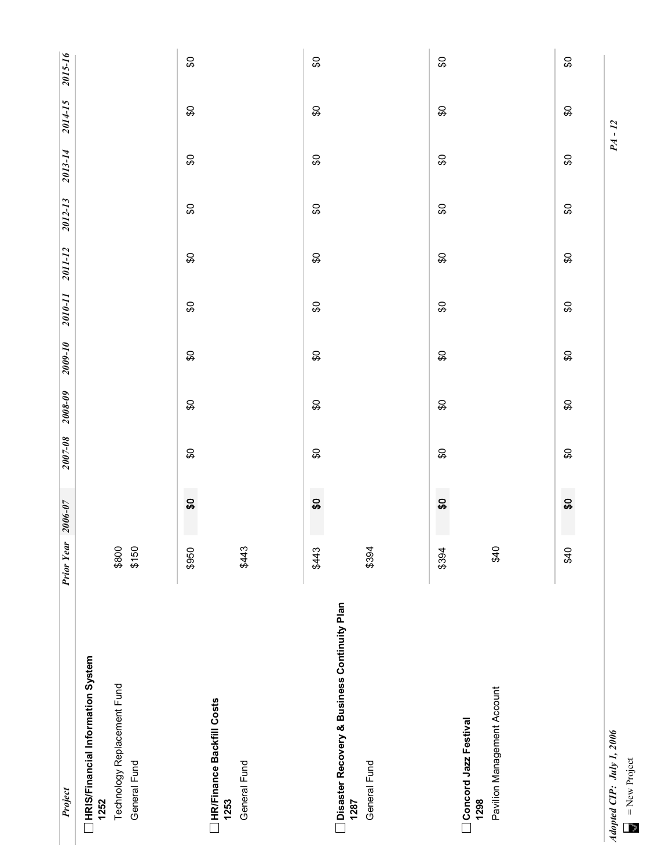| Project                                                                                  | <b>Prior Year</b> | $2006 - 07$                                 | $2007 - 08$    | $2008 - 09$ | 2009-10 | 2010-11 | 2011-12        | 2012-13 | 2013-14 | 2014-15        | 2015-16 |
|------------------------------------------------------------------------------------------|-------------------|---------------------------------------------|----------------|-------------|---------|---------|----------------|---------|---------|----------------|---------|
| HRIS/Financial Information System<br>Technology Replacement Fund<br>General Fund<br>1252 | \$800<br>\$150    |                                             |                |             |         |         |                |         |         |                |         |
| HR/Finance Backfill Costs                                                                | \$950             | <b>SQ</b>                                   | œ              | œ           | œ       | \$O     | \$O            | œ       | œ       | œ              | \$      |
| General Fund<br>1253                                                                     | \$443             |                                             |                |             |         |         |                |         |         |                |         |
| Disaster Recovery & Business Continuity Plan                                             | \$443             | <b>College</b><br>$\boldsymbol{\mathsf{S}}$ | $\mathfrak{S}$ | œ           | œ       | \$O     | $\mathfrak{S}$ | œ       | \$      | œ              | \$      |
| General Fund<br>1287                                                                     | \$394             |                                             |                |             |         |         |                |         |         |                |         |
| Concord Jazz Festival<br>1298                                                            | \$394             | \$0                                         | œ              | \$          | œ       | \$O     | \$O            | \$      | \$      | œ              | \$      |
| Pavilion Management Account                                                              | \$40              |                                             |                |             |         |         |                |         |         |                |         |
|                                                                                          | \$40              | e i<br>$\overline{\mathbf{3}}$              | $\mathbb{S}^1$ | \$          | œ       | \$Ó     | \$Ó            | \$      | \$      | $\mathfrak{S}$ | \$      |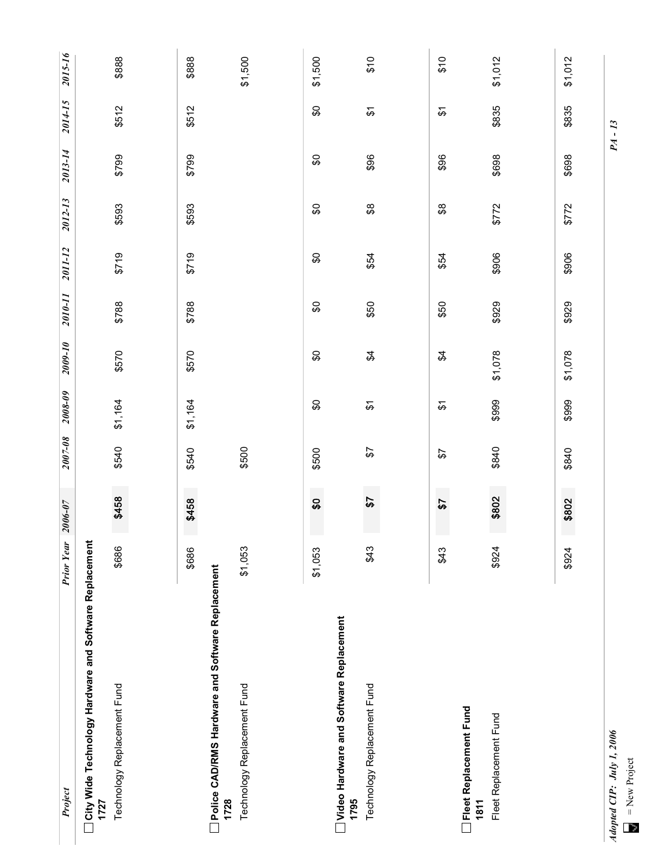| Project                                                | <b>Prior Year</b> | $2006 - 07$               | $2007 - 08$ | $2008 - 09$                  | $2009 - 10$    | 2010-11 | 2011-12 | 2012-13                     | 2013-14 | 2014-15                      | 2015-16 |
|--------------------------------------------------------|-------------------|---------------------------|-------------|------------------------------|----------------|---------|---------|-----------------------------|---------|------------------------------|---------|
| City Wide Technology Hardware and Software Replacement |                   |                           |             |                              |                |         |         |                             |         |                              |         |
| 1727                                                   |                   |                           |             |                              |                |         |         |                             |         |                              |         |
| Technology Replacement Fund                            | \$686             | \$458                     | \$540       | \$1,164                      | \$570          | \$788   | 61,25   | \$593                       | \$799   | \$512                        | \$888   |
|                                                        |                   |                           |             |                              |                |         |         |                             |         |                              |         |
|                                                        | \$686             | \$458                     | \$540       | \$1,164                      | \$570          | \$788   | \$719   | \$593                       | \$799   | \$512                        | \$888   |
| Police CAD/RMS Hardware and Software Replacement       |                   |                           |             |                              |                |         |         |                             |         |                              |         |
| 1728                                                   |                   |                           |             |                              |                |         |         |                             |         |                              |         |
| Technology Replacement Fund                            | \$1,053           |                           | \$500       |                              |                |         |         |                             |         |                              | \$1,500 |
|                                                        |                   |                           |             |                              |                |         |         |                             |         |                              |         |
|                                                        | \$1,053           | $\boldsymbol{\mathsf{S}}$ | \$500       | œ                            | œ              | \$O     | \$O     | œ                           | œ       | \$O                          | \$1,500 |
| Video Hardware and Software Replacement<br>1795        |                   |                           |             |                              |                |         |         |                             |         |                              |         |
| Technology Replacement Fund                            | \$43              | 57                        | 57          | $\overleftarrow{\mathbf{e}}$ | $\mathfrak{A}$ | \$50    | \$54    | $\boldsymbol{\mathfrak{S}}$ | \$96    | $\overleftarrow{\mathbf{e}}$ | 610     |
|                                                        |                   |                           |             |                              |                |         |         |                             |         |                              |         |
|                                                        | \$43              | $\overline{\mathbf{3}}$   | $\sqrt{3}$  | $\overleftarrow{\mathbf{e}}$ | $\mathfrak{A}$ | \$50    | \$54    | $\boldsymbol{\mathfrak{g}}$ | \$96    | $\overleftarrow{S}$          | \$10    |
| Fleet Replacement Fund<br>1811                         |                   |                           |             |                              |                |         |         |                             |         |                              |         |
| Fleet Replacement Fund                                 | \$924             | \$802                     | \$840       | \$999                        | \$1,078        | \$929   | \$906   | \$772                       | \$698   | \$835                        | \$1,012 |
|                                                        |                   |                           |             |                              |                |         |         |                             |         |                              |         |
|                                                        |                   |                           |             |                              |                |         |         | \$772                       |         |                              |         |
|                                                        | \$924             | \$802                     | \$840       | \$999                        | \$1,078        | \$929   | \$906   |                             | \$698   | \$835                        | \$1,012 |
| Adopted CIP: July 1, 2006                              |                   |                           |             |                              |                |         |         |                             |         | $PA - 13$                    |         |

 $\blacksquare$  = New Project = New Project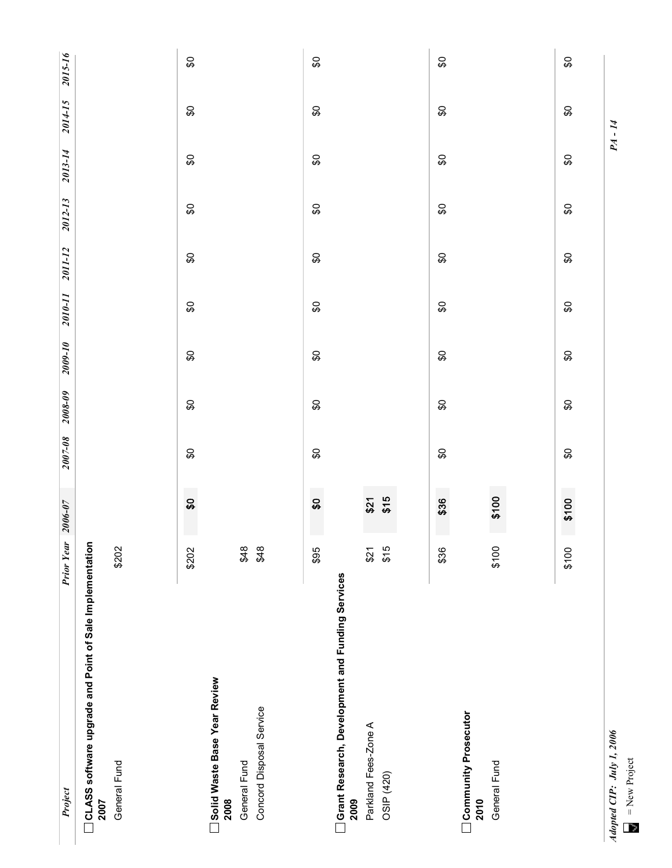| Project                                                                | <b>Prior Year</b> | $2006 - 07$               | 2007-08 | $2008 - 09$ | 2009-10 | 2010-11                   | 2011-12                   | 2012-13 | 2013-14 | 2014-15 | 2015-16 |
|------------------------------------------------------------------------|-------------------|---------------------------|---------|-------------|---------|---------------------------|---------------------------|---------|---------|---------|---------|
| CLASS software upgrade and Point of Sale Implementation<br><b>2007</b> |                   |                           |         |             |         |                           |                           |         |         |         |         |
| General Fund                                                           | \$202             |                           |         |             |         |                           |                           |         |         |         |         |
|                                                                        |                   |                           |         |             |         |                           |                           |         |         |         |         |
|                                                                        | \$202             | $\boldsymbol{\mathsf{s}}$ | œ       | \$          | \$      | \$O                       | \$O                       | \$      | œ       | œ       | \$      |
| Solid Waste Base Year Review<br>2008                                   |                   |                           |         |             |         |                           |                           |         |         |         |         |
| Concord Disposal Service<br>General Fund                               | \$48<br>\$48      |                           |         |             |         |                           |                           |         |         |         |         |
|                                                                        |                   |                           |         |             |         |                           |                           |         |         |         |         |
|                                                                        | \$95              | $\boldsymbol{\mathsf{S}}$ | œ       | \$          | œ       | $\boldsymbol{\mathsf{S}}$ | $\boldsymbol{\mathsf{S}}$ | \$      | \$      | \$O     | \$      |
| Grant Research, Development and Funding Services<br>2009               |                   |                           |         |             |         |                           |                           |         |         |         |         |
| Parkland Fees-Zone A                                                   | \$21              | $$21$<br>$$15$            |         |             |         |                           |                           |         |         |         |         |
| OSIP (420)                                                             | \$15              |                           |         |             |         |                           |                           |         |         |         |         |
|                                                                        |                   |                           |         |             |         |                           |                           |         |         |         |         |
|                                                                        | \$36              | \$36                      | င္တ     | S           | \$O     | \$O                       | \$O                       | \$O     | \$      | \$      | S       |
| Community Prosecutor<br>2010                                           |                   |                           |         |             |         |                           |                           |         |         |         |         |
| General Fund                                                           | \$100             | \$100                     |         |             |         |                           |                           |         |         |         |         |
|                                                                        |                   |                           |         |             |         |                           |                           |         |         |         |         |
|                                                                        | \$100             | \$100                     | œ       | œ           | œ       | \$O                       | $\boldsymbol{\mathsf{S}}$ | œ       | œ       | \$      | œ       |
|                                                                        |                   |                           |         |             |         |                           |                           |         |         |         |         |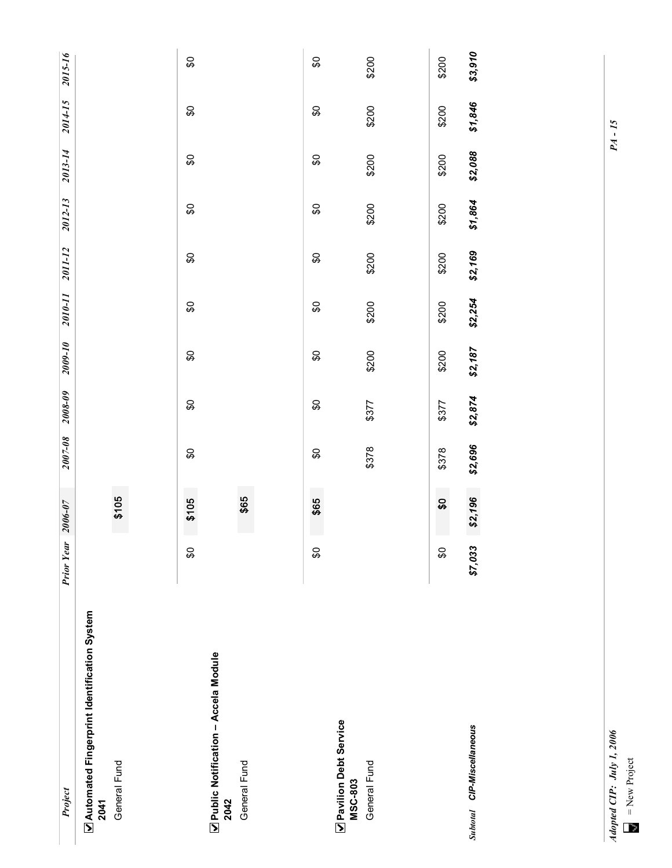| Project                                                                    | <b>Prior Year</b> | $2006 - 07$               | $2007 - 08$ | $2008 - 09$ | $2009 - 10$ | 2010-11 | 2011-12 | 2012-13 | 2013-14 | 2014-15 | 2015-16 |
|----------------------------------------------------------------------------|-------------------|---------------------------|-------------|-------------|-------------|---------|---------|---------|---------|---------|---------|
| <b>Nutomated Fingerprint Identification System</b><br>General Fund<br>2041 |                   | \$105                     |             |             |             |         |         |         |         |         |         |
| Public Notification - Accela Module<br>General Fund<br>2042                | \$                | \$65<br>\$105             | œ           | œ           | S           | \$O     | \$      | SO,     | S       | œ       | œ       |
| Pavilion Debt Service<br><b>MSC-803</b>                                    | \$                | \$65                      | œ           | œ           | œ           | \$O     | \$O     | œ       | œ       | œ       | œ       |
| General Fund                                                               |                   |                           | \$378       | \$377       | \$200       | \$200   | \$200   | \$200   | \$200   | \$200   | \$200   |
|                                                                            | S)                | $\boldsymbol{\mathsf{S}}$ | \$378       | \$377       | \$200       | \$200   | \$200   | \$200   | \$200   | \$200   | \$200   |
| Subtotal CIP-Miscellaneous                                                 | \$7,033           | \$2,196                   | \$2,696     | \$2,874     | \$2,187     | \$2,254 | \$2,169 | \$1,864 | \$2,088 | \$1,846 | \$3,910 |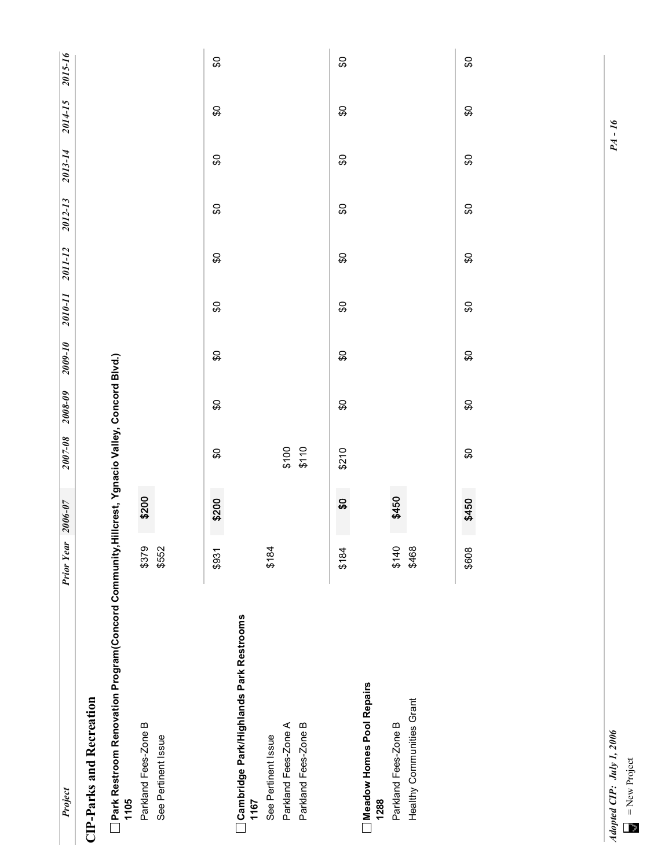| Project                                                                                                 | <b>Prior Year</b> | $2006 - 07$               | $2007 - 08$ | $2008 - 09$ | 2009-10 | 2010-11                   | 2011-12                   | 2012-13  | 2013-14  | 2014-15              | 2015-16        |
|---------------------------------------------------------------------------------------------------------|-------------------|---------------------------|-------------|-------------|---------|---------------------------|---------------------------|----------|----------|----------------------|----------------|
| <b>CIP-Parks and Recreation</b>                                                                         |                   |                           |             |             |         |                           |                           |          |          |                      |                |
| □ Park Restroom Renovation Program(Concord Community, Hillcrest, Ygnacio Valley, Concord Blvd.)<br>1105 |                   |                           |             |             |         |                           |                           |          |          |                      |                |
| Parkland Fees-Zone B                                                                                    | \$379             | \$200                     |             |             |         |                           |                           |          |          |                      |                |
| See Pertinent Issue                                                                                     | \$552             |                           |             |             |         |                           |                           |          |          |                      |                |
|                                                                                                         | \$931             | \$200                     | œ           | œ           | œ       | \$O                       | \$O                       | œ        | œ        | $\pmb{\mathfrak{S}}$ | œ              |
| Cambridge Park/Highlands Park Restrooms<br>1167                                                         |                   |                           |             |             |         |                           |                           |          |          |                      |                |
| See Pertinent Issue                                                                                     | \$184             |                           |             |             |         |                           |                           |          |          |                      |                |
| Parkland Fees-Zone A                                                                                    |                   |                           | \$100       |             |         |                           |                           |          |          |                      |                |
| Parkland Fees-Zone B                                                                                    |                   |                           | \$110       |             |         |                           |                           |          |          |                      |                |
|                                                                                                         | \$184             | $\boldsymbol{\mathsf{S}}$ | \$210       | œ           | œ       | $\mathfrak{S}$            | $\mathfrak{S}$            | <b>C</b> | <b>C</b> | <b>C</b>             | $\mathfrak{S}$ |
| Meadow Homes Pool Repairs<br>1288                                                                       |                   |                           |             |             |         |                           |                           |          |          |                      |                |
| Parkland Fees-Zone B                                                                                    | 6140              | \$450                     |             |             |         |                           |                           |          |          |                      |                |
| Healthy Communities Grant                                                                               | \$468             |                           |             |             |         |                           |                           |          |          |                      |                |
|                                                                                                         |                   |                           |             |             |         |                           |                           |          |          |                      |                |
|                                                                                                         | \$09\$            | \$450                     | œ           | \$          | œ       | $\boldsymbol{\mathsf{S}}$ | $\boldsymbol{\mathsf{S}}$ | S        | S        | œ                    | œ              |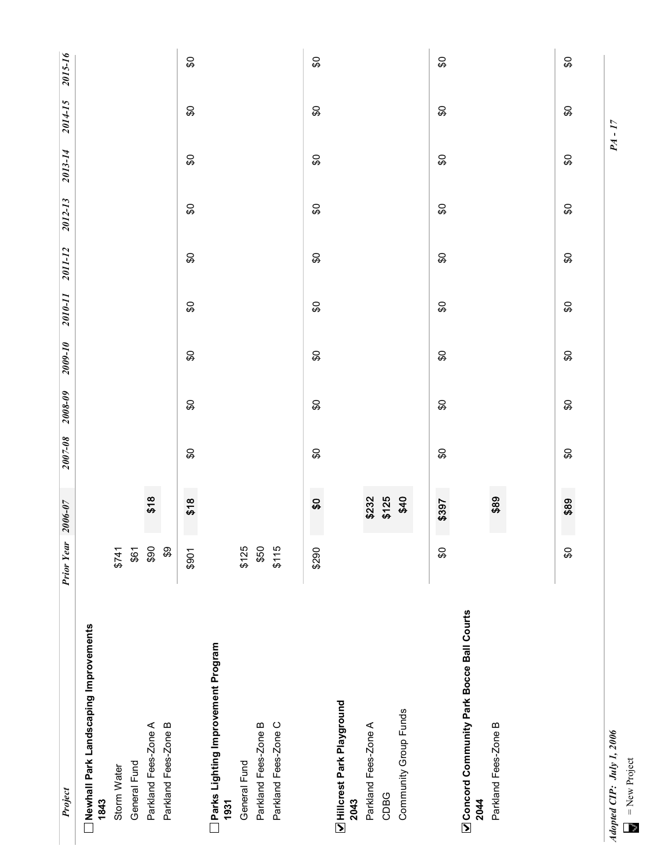| Project                                           | <b>Prior Year</b> | $2006 - 07$               | $2007 - 08$ | $2008 - 09$ | 2009-10 | 2010-11                   | 2011-12 | 2012-13 | 2013-14 | 2014-15 | 2015-16 |
|---------------------------------------------------|-------------------|---------------------------|-------------|-------------|---------|---------------------------|---------|---------|---------|---------|---------|
| Newhall Park Landscaping Improvements<br>1843     |                   |                           |             |             |         |                           |         |         |         |         |         |
| Storm Water                                       | \$741             |                           |             |             |         |                           |         |         |         |         |         |
| General Fund                                      | \$61              |                           |             |             |         |                           |         |         |         |         |         |
| Parkland Fees-Zone A                              | \$90              | \$18                      |             |             |         |                           |         |         |         |         |         |
| Parkland Fees-Zone B                              | $\mathfrak{S}$    |                           |             |             |         |                           |         |         |         |         |         |
|                                                   | \$901             | e i<br>\$18               | \$          | S           | \$      | $\boldsymbol{\mathsf{S}}$ | \$O     | \$      | S       | \$O     | \$      |
| Parks Lighting Improvement Program<br>1931        |                   |                           |             |             |         |                           |         |         |         |         |         |
| General Fund                                      | \$125             |                           |             |             |         |                           |         |         |         |         |         |
| Parkland Fees-Zone B                              | \$50              |                           |             |             |         |                           |         |         |         |         |         |
| Parkland Fees-Zone C                              | \$115             |                           |             |             |         |                           |         |         |         |         |         |
|                                                   |                   |                           |             |             |         |                           |         |         |         |         |         |
|                                                   | \$290             | <b>S</b>                  | S)          | S           | S)      | \$O                       | \$O     | S       | œ       | S)      | S)      |
| Hillcrest Park Playground<br>2043                 |                   |                           |             |             |         |                           |         |         |         |         |         |
| Parkland Fees-Zone A                              |                   |                           |             |             |         |                           |         |         |         |         |         |
| CDBG                                              |                   | $$232$<br>$$125$<br>$$40$ |             |             |         |                           |         |         |         |         |         |
| Community Group Funds                             |                   |                           |             |             |         |                           |         |         |         |         |         |
|                                                   | S                 | \$397                     | \$          | \$          | S)      | \$O                       | \$O     | \$      | œ       | \$      | \$O     |
| Oconcord Community Park Bocce Ball Courts<br>2044 |                   |                           |             |             |         |                           |         |         |         |         |         |
| Parkland Fees-Zone B                              |                   | \$89                      |             |             |         |                           |         |         |         |         |         |
|                                                   |                   |                           |             |             |         |                           |         |         |         |         |         |
|                                                   | œ                 | \$89                      | \$          | S           | \$      | $\mathfrak{S}$            | \$Ó     | \$      | \$      | SO,     | \$      |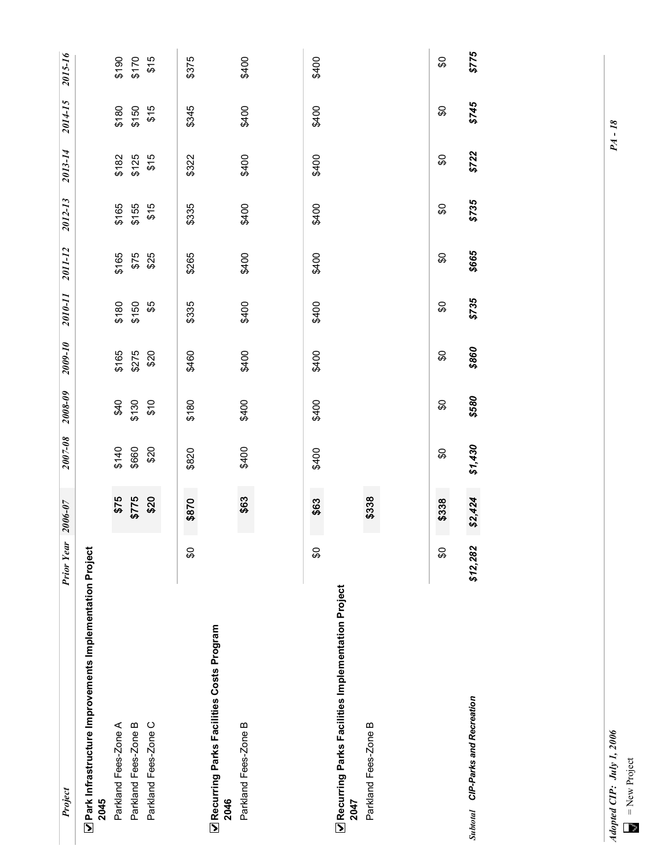| Project                                                                  | <b>Prior Year</b> | 2006-07                  | $2007 - 08$ | $2008 - 09$  | 2009-10        | 2010-11 | 2011-12 | 2012-13 | 2013-14        | 2014-15 | 2015-16        |
|--------------------------------------------------------------------------|-------------------|--------------------------|-------------|--------------|----------------|---------|---------|---------|----------------|---------|----------------|
| <b>Z</b> Park Infrastructure Improvements Implementation Project<br>2045 |                   |                          |             |              |                |         |         |         |                |         |                |
| Parkland Fees-Zone A                                                     |                   |                          | 6140        |              |                | \$180   | \$165   | \$165   |                | \$180   |                |
| Parkland Fees-Zone B                                                     |                   | $$75$<br>$$775$<br>$$20$ | \$660       | \$130<br>913 | \$165<br>\$275 | \$150   | \$75    | \$155   | \$182<br>\$125 | \$150   | \$190<br>\$170 |
| Parkland Fees-Zone C                                                     |                   |                          | \$20        | $\sqrt{6}$   | \$20           | \$5     | \$25    | \$15    | \$15           | \$15    | \$15           |
|                                                                          |                   |                          |             |              |                |         |         |         |                |         |                |
|                                                                          | S)                | \$870                    | \$820       | \$180        | \$460          | \$335   | \$265   | \$335   | \$322          | \$345   | \$375          |
| Recurring Parks Facilities Costs Program<br>2046                         |                   |                          |             |              |                |         |         |         |                |         |                |
| Parkland Fees-Zone B                                                     |                   | \$63                     | \$400       | \$400        | \$400          | \$400   | \$400   | \$400   | \$400          | \$400   | \$400          |
|                                                                          |                   |                          |             |              |                |         |         |         |                |         |                |
|                                                                          | S                 | \$63                     | \$400       | \$400        | \$400          | \$400   | \$400   | \$400   | \$400          | \$400   | \$400          |
| Recurring Parks Facilities Implementation Project<br>2047                |                   |                          |             |              |                |         |         |         |                |         |                |
| Parkland Fees-Zone B                                                     |                   | \$338                    |             |              |                |         |         |         |                |         |                |
|                                                                          |                   |                          |             |              |                |         |         |         |                |         |                |
|                                                                          | ဥ္တ               | \$338                    | œ           | œ            | S)             | \$O     | \$O     | \$      | \$             | \$      | \$             |
| Subtotal CIP-Parks and Recreation                                        | \$12,282          | \$2,424                  | \$1,430     | \$580        | \$860          | \$735   | \$665   | \$735   | \$722          | \$745   | \$775          |
|                                                                          |                   |                          |             |              |                |         |         |         |                |         |                |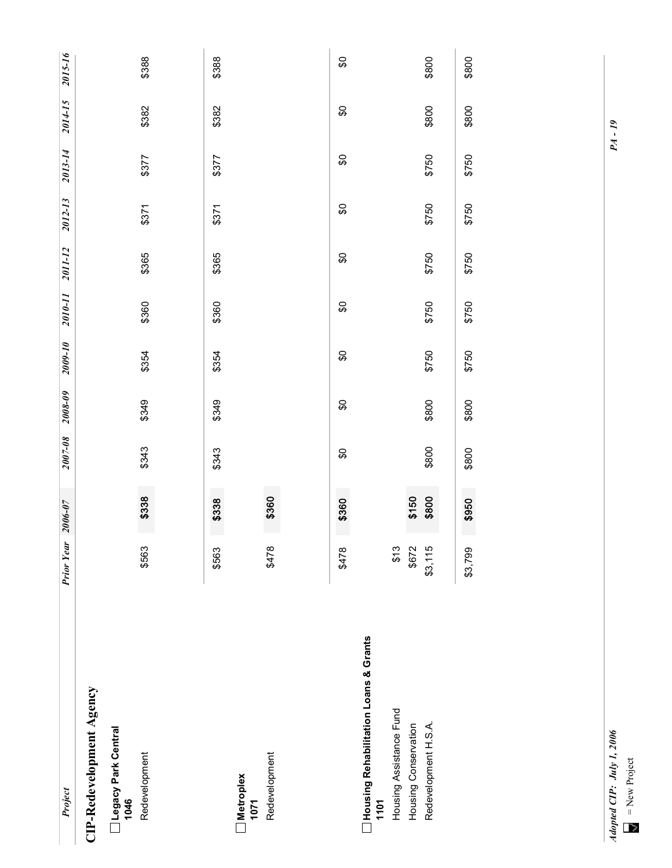| Project                                       | <b>Prior Year</b> | $2006 - 07$ | $2007 - 08$ | $2008 - 09$ | 2009-10 | 2010-11 | 2011-12 | 2012-13 | 2013-14 | 2014-15 | 2015-16 |
|-----------------------------------------------|-------------------|-------------|-------------|-------------|---------|---------|---------|---------|---------|---------|---------|
| <b>CIP-Redevelopment Agency</b>               |                   |             |             |             |         |         |         |         |         |         |         |
| □ Legacy Park Central<br>1046                 |                   |             |             |             |         |         |         |         |         |         |         |
| Redevelopment                                 | \$563             | \$338       | \$343       | \$349       | \$354   | \$360   | \$365   | \$371   | \$377   | \$382   | \$388   |
|                                               |                   |             |             |             |         |         |         |         |         |         |         |
| Metroplex<br>1071                             | \$563             | \$338       | \$343       | \$349       | \$354   | \$360   | \$365   | \$371   | \$377   | \$382   | \$388   |
| Redevelopment                                 | \$478             | \$360       |             |             |         |         |         |         |         |         |         |
|                                               |                   |             |             |             |         |         |         |         |         |         |         |
|                                               | \$478             | \$360       | œ           | œ           | œ       | œ       | œ       | œ       | œ       | œ       | œ       |
| Housing Rehabilitation Loans & Grants<br>1101 |                   |             |             |             |         |         |         |         |         |         |         |
| Housing Assistance Fund                       | \$13              |             |             |             |         |         |         |         |         |         |         |
| Housing Conservation                          | \$672             | \$150       |             |             |         |         |         |         |         |         |         |
| Redevelopment H.S.A.                          | \$3,115           | \$800       | \$800       | \$800       | \$750   | \$750   | \$750   | \$750   | \$750   | \$800   | \$800   |
|                                               | \$3,799           | \$950       | \$800       | \$800       | \$750   | \$750   | \$750   | \$750   | \$750   | \$800   | \$800   |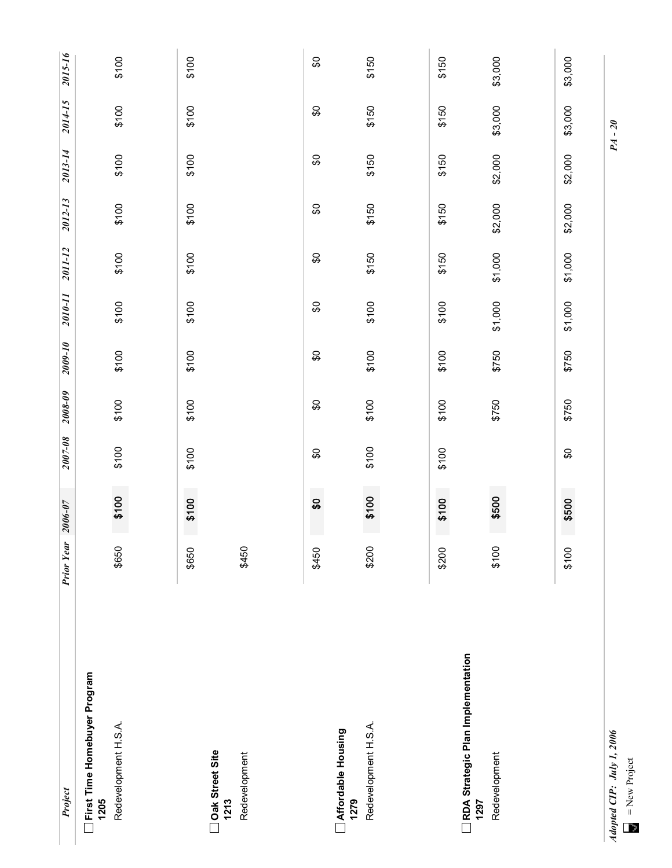| Project                                                      | <b>Prior Year</b> | $2006 - 07$ | $2007 - 08$ | $2008 - 09$ | 2009-10 | 2010-11                   | 2011-12  | 2012-13 | 2013-14 | 2014-15   | 2015-16 |
|--------------------------------------------------------------|-------------------|-------------|-------------|-------------|---------|---------------------------|----------|---------|---------|-----------|---------|
| First Time Homebuyer Program<br>Redevelopment H.S.A.<br>1205 | \$650             | \$100       | \$100       | \$100       | \$100   | \$100                     | \$100    | \$100   | \$100   | \$100     | \$100   |
| Oak Street Site<br>Redevelopment<br>1213                     | \$450<br>\$650    | \$100       | \$100       | \$100       | \$100   | \$100                     | \$100    | \$100   | \$100   | \$100     | \$100   |
| Affordable Housing                                           | \$450             | 8           | œ           | \$O         | œ       | $\mathsf{S}^{\mathsf{O}}$ | <b>C</b> | œ       | œ       | œ         | œ       |
| Redevelopment H.S.A.<br>1279                                 | \$200             | \$100       | \$100       | \$100       | \$100   | \$100                     | \$150    | \$150   | \$150   | \$150     | \$150   |
| RDA Strategic Plan Implementation<br>1297                    | \$200             | m.<br>\$100 | \$100       | \$100       | \$100   | \$100                     | \$150    | \$150   | \$150   | \$150     | \$150   |
| Redevelopment                                                | \$100             | \$500       |             | \$750       | \$750   | \$1,000                   | \$1,000  | \$2,000 | \$2,000 | \$3,000   | \$3,000 |
|                                                              | \$100             | \$500       | œ           | \$750       | \$750   | \$1,000                   | \$1,000  | \$2,000 | \$2,000 | \$3,000   | \$3,000 |
| Adopted CIP: July 1, 2006<br>$\blacksquare$ New Project      |                   |             |             |             |         |                           |          |         |         | $PA - 20$ |         |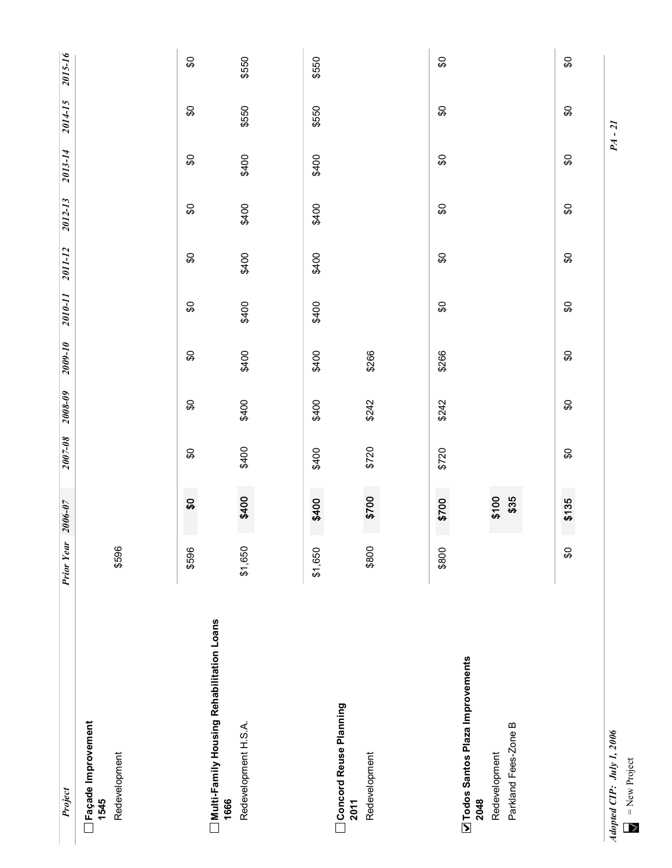| Project                                                                   | <b>Prior Year</b> | $2006 - 07$               | $2007 - 08$ | $2008 - 09$ | $2009 - 10$ | 2010-11        | 2011-12 | 2012-13 | 2013-14 | 2014-15 | 2015-16 |
|---------------------------------------------------------------------------|-------------------|---------------------------|-------------|-------------|-------------|----------------|---------|---------|---------|---------|---------|
| Façade Improvement<br>Redevelopment<br>1545                               | \$596             |                           |             |             |             |                |         |         |         |         |         |
|                                                                           | \$596             | $\boldsymbol{\mathsf{S}}$ | œ           | œ           | œ           | $\mathfrak{S}$ | \$O     | \$      | œ       | \$      | œ       |
| Multi-Family Housing Rehabilitation Loans<br>Redevelopment H.S.A.<br>1666 | \$1,650           | \$400                     | \$400       | \$400       | \$400       | \$400          | \$400   | \$400   | \$400   | \$550   | \$550   |
|                                                                           | \$1,650           | \$400                     | \$400       | \$400       | \$400       | \$400          | \$400   | \$400   | \$400   | \$550   | \$550   |
| Concord Reuse Planning<br>Redevelopment<br>2011                           | \$800             | \$700                     | \$720       | \$242       | \$266       |                |         |         |         |         |         |
|                                                                           |                   |                           |             |             |             |                |         |         |         |         |         |
| 7odos Santos Plaza Improvements<br>Redevelopment<br>2048                  | \$800             | \$700                     | \$720       | \$242       | \$266       | \$             | \$      | œ       | œ       | \$      | œ       |
| Parkland Fees-Zone B                                                      |                   | \$100<br>\$35             |             |             |             |                |         |         |         |         |         |
|                                                                           | œ                 | \$135                     | \$O         | \$          | \$O         | \$             | \$Ó     | \$      | œ       | S       | œ       |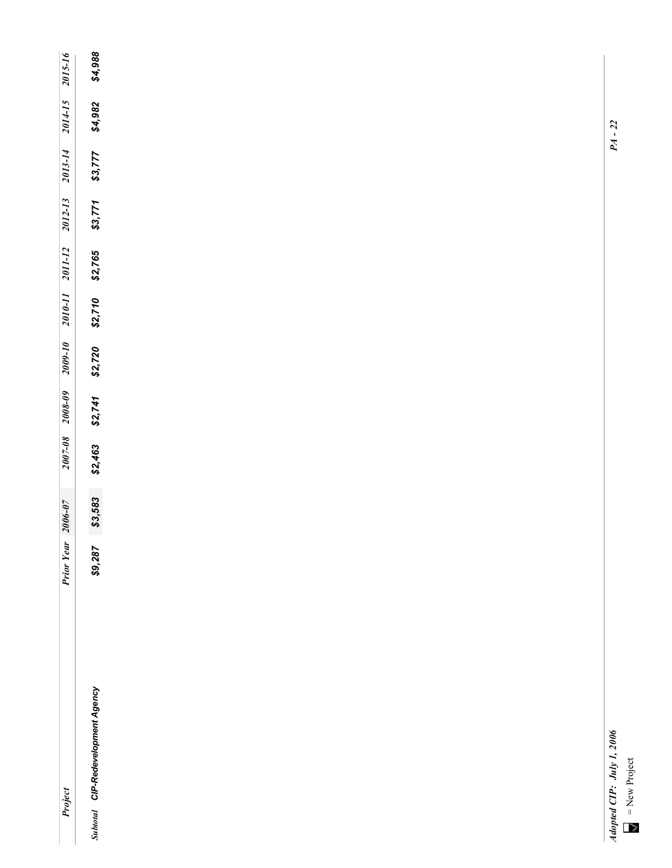| Project                                      | <b>Prior Year</b> | $2006 - 07$ | $2007 - 08$ | $2008 - 09$ | 2009-10 | 2010-11 2011-12 |         | 2012-13 | 2013-14 | 2014-15   | 2015-16 |
|----------------------------------------------|-------------------|-------------|-------------|-------------|---------|-----------------|---------|---------|---------|-----------|---------|
|                                              |                   |             |             |             |         |                 |         |         |         |           |         |
| Subtotal CIP-Redevelopment Agency            | \$9,287           | \$3,583     | \$2,463     | \$2,741     | \$2,720 | \$2,710         | \$2,765 | \$3,771 | \$3,777 | \$4,982   | \$4,988 |
|                                              |                   |             |             |             |         |                 |         |         |         |           |         |
| Adopted CIP: July 1, 2006<br>= $New Project$ |                   |             |             |             |         |                 |         |         |         | $PA - 22$ |         |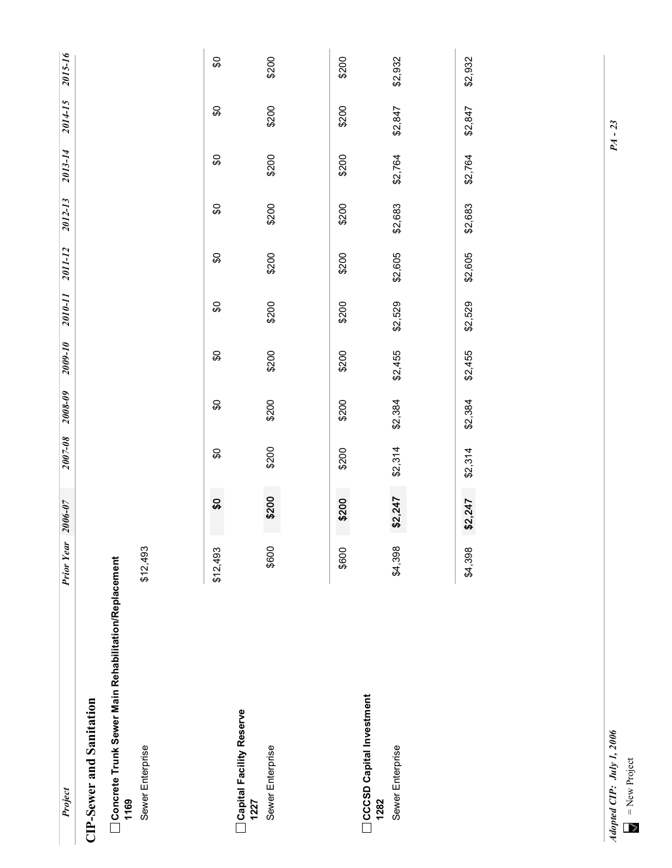| 15-10         |
|---------------|
| $14 - 13$     |
| 2013-1.       |
| 1012-1        |
| <i>A11-12</i> |
| 17-010;       |
| $00 - 10$     |
| $008 - 09$    |
| 30-700:       |
| 006-07        |
| rior          |
|               |
|               |
|               |
| rojec.        |

## **CIP-Sewer and Sanitation CIP-Sewer and Sanitation**

**Concrete Trunk Sewer Main Rehabilitation/Replacement** □Concrete Trunk Sewer Main Rehabilitation/Replacement<br>1169

Sewer Enterprise  $$12,493$ 

\$12,493

| Ú<br>ũ.<br>t |  |
|--------------|--|
| ι<br>۹       |  |

| ٠ |  |
|---|--|
|   |  |
|   |  |
|   |  |
|   |  |
| í |  |
|   |  |
|   |  |
|   |  |
|   |  |
|   |  |
|   |  |
|   |  |
|   |  |
|   |  |
|   |  |
|   |  |
|   |  |

|                                  | \$12,493 | င္တ   | SS    | S     | \$    | \$    | \$    | င္တ   | S)    | \$    | ္တ    |
|----------------------------------|----------|-------|-------|-------|-------|-------|-------|-------|-------|-------|-------|
| Capital Facility Reserve<br>1227 |          |       |       |       |       |       |       |       |       |       |       |
| Sewer Enterprise                 | \$600    | \$200 | \$200 | \$200 | \$200 | \$200 | \$200 | \$200 | \$200 | \$200 | \$200 |
|                                  |          |       |       |       |       |       |       |       |       |       |       |
|                                  |          |       |       |       |       |       |       |       |       |       |       |
|                                  | \$600    | \$200 | \$200 | \$200 | \$200 | \$200 | \$200 | \$200 | \$200 | \$200 | \$200 |
| $\Box$ CCCO Capital Invoctment   |          |       |       |       |       |       |       |       |       |       |       |

 $\frac{6}{2}$ 

\$200

**CCCSD Capital Investment** CCCSD Capital Investment<br>1282

Sewer Enterprise

\$4,398 \$2,247 \$2,314 \$2,384 \$2,455 \$2,529 \$2,605 \$2,764 \$2,847 \$2,932 \$2,683 \$2,847 \$2,764 \$2,683 \$2,605 \$2,529 \$2,455 \$2,384  $$2,247$   $$2,314$ \$4,398

\$2,932

Sewer Enterprise \$2,344 \$2,347 \$2,344 \$2,384 \$2,455 \$2,529 \$2,529 \$2,629 \$2,683 \$2,683 \$2,647 \$2,932

 $$2,247$   $$2,314$ 

\$4,398

\$2,384

\$2,932

\$2,847

\$2,764

\$2,683

\$2,605

\$2,529

\$2,455

\$200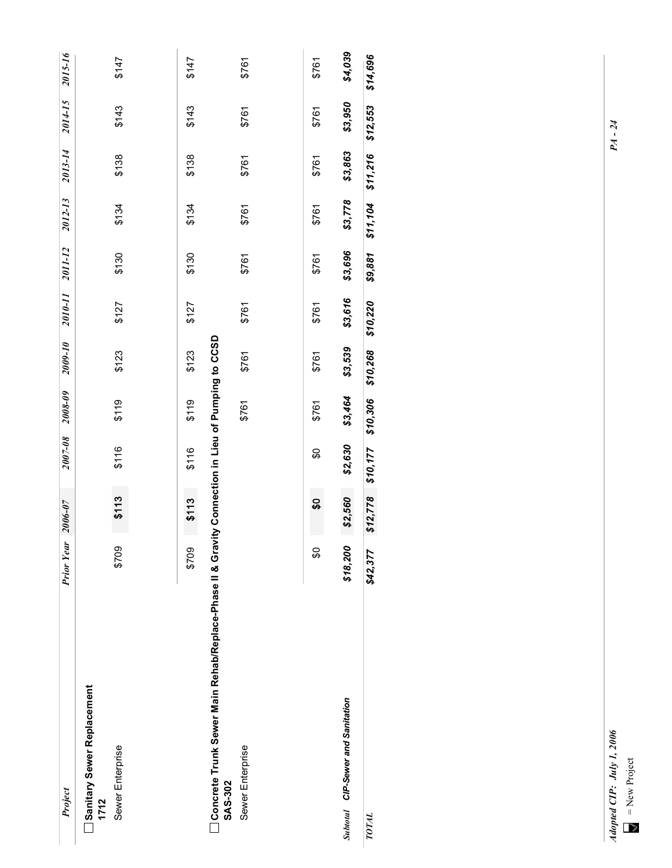| Project                                                                     | <b>Prior Year</b> | $2006 - 07$ | $2007 - 08$                              | $2008 - 09$ | 2009-10  | 2010-11  | 2011-12 | 2012-13  | 2013-14  | 2014-15  | 2015-16  |
|-----------------------------------------------------------------------------|-------------------|-------------|------------------------------------------|-------------|----------|----------|---------|----------|----------|----------|----------|
| Sanitary Sewer Replacement<br>Sewer Enterprise<br>1712                      | \$709             | \$113       | \$116                                    | \$119       | \$123    | \$127    | \$130   | \$134    | \$138    | \$143    | 5147     |
|                                                                             |                   |             |                                          |             |          |          |         |          |          |          |          |
|                                                                             | \$709             | \$113       | \$116                                    | \$119       | \$123    | \$127    | \$130   | \$134    | \$138    | \$143    | 24147    |
| Concrete Trunk Sewer Main Rehab/Replace-Phase II & Gravit<br><b>SAS-302</b> |                   |             | ty Connection in Lieu of Pumping to CCSD |             |          |          |         |          |          |          |          |
| Sewer Enterprise                                                            |                   |             |                                          | \$761       | \$761    | \$761    | \$761   | \$761    | \$761    | \$761    | \$761    |
|                                                                             |                   |             |                                          |             |          |          |         |          |          |          |          |
|                                                                             | င္တ               | န္တ         | œ                                        | \$761       | \$761    | \$761    | \$761   | \$761    | \$761    | \$761    | \$761    |
| Subtotal CIP-Sewer and Sanitation                                           | \$18,200          | \$2,560     | \$2,630                                  | \$3,464     | \$3,539  | \$3,616  | \$3,696 | \$3,778  | \$3,863  | \$3,950  | \$4,039  |
| TOTAL                                                                       | \$42,377          | \$12,778    | \$10,177                                 | \$10,306    | \$10,268 | \$10,220 | \$9,881 | \$11,104 | \$11,216 | \$12,553 | \$14,696 |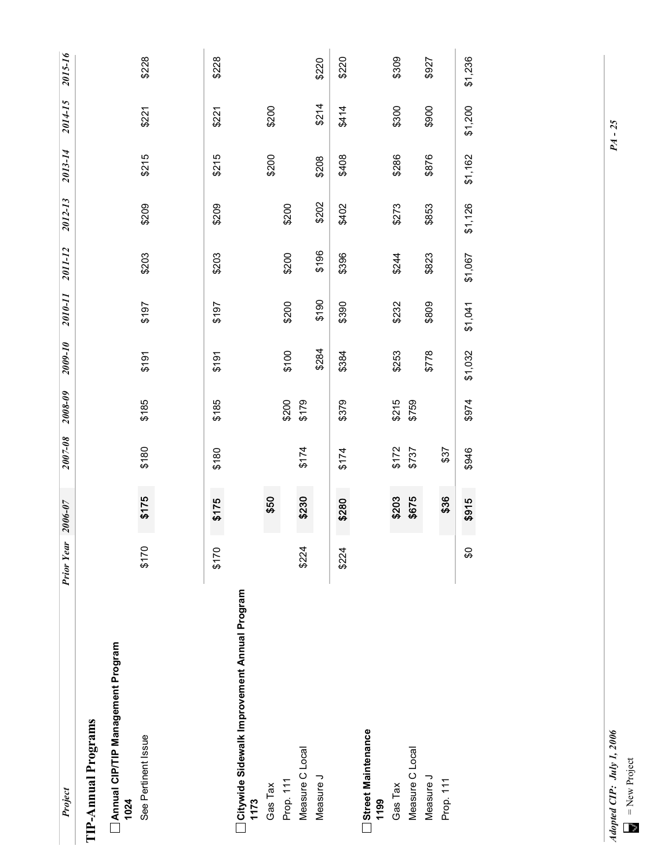| Project                                              | <b>Prior Year</b> | $2006 - 07$ | $2007 - 08$ | $2008 - 09$ | 2009-10 | 2010-11 | 2011-12 | 2012-13 | 2013-14 | 2014-15 | 2015-16 |
|------------------------------------------------------|-------------------|-------------|-------------|-------------|---------|---------|---------|---------|---------|---------|---------|
| <b>TIP-Annual Programs</b>                           |                   |             |             |             |         |         |         |         |         |         |         |
| ∐ Annual CIP/TIP Management Program<br>1024          |                   |             |             |             |         |         |         |         |         |         |         |
| See Pertinent Issue                                  | 0212              | \$175       | \$180       | \$185       | 591     | \$197   | \$203   | \$209   | \$215   | \$221   | \$228   |
|                                                      |                   |             |             |             |         |         |         |         |         |         |         |
|                                                      | \$170             | \$175       | \$180       | \$185       | \$191   | \$197   | \$203   | \$209   | \$215   | \$221   | \$228   |
| Citywide Sidewalk Improvement Annual Program<br>1173 |                   |             |             |             |         |         |         |         |         |         |         |
| Gas Tax                                              |                   | \$50        |             |             |         |         |         |         | \$200   | \$200   |         |
| Prop. 111                                            |                   |             |             | \$200       | \$100   | \$200   | \$200   | \$200   |         |         |         |
| Measure C Local                                      | \$224             | \$230       | \$174       | \$179       |         |         |         |         |         |         |         |
| Measure J                                            |                   |             |             |             | \$284   | \$190   | \$196   | \$202   | \$208   | \$214   | \$220   |
|                                                      | \$224             | \$280       | \$174       | \$379       | \$384   | \$390   | \$396   | \$402   | \$408   | \$414   | \$220   |
| Street Maintenance<br>1199                           |                   |             |             |             |         |         |         |         |         |         |         |
| Gas Tax                                              |                   | \$203       | \$172       | \$215       | \$253   | \$232   | \$244   | \$273   | \$286   | \$300   | \$309   |
| Measure C Local                                      |                   | \$675       | \$737       | \$759       |         |         |         |         |         |         |         |
| Measure J                                            |                   |             |             |             | \$778   | \$08\$  | \$823   | \$853   | \$876   | \$900   | \$927   |
| Prop. 111                                            |                   | \$36        | \$37        |             |         |         |         |         |         |         |         |
|                                                      | \$                | \$915       | \$946       | \$974       | \$1,032 | \$1,041 | \$1,067 | \$1,126 | \$1,162 | \$1,200 | \$1,236 |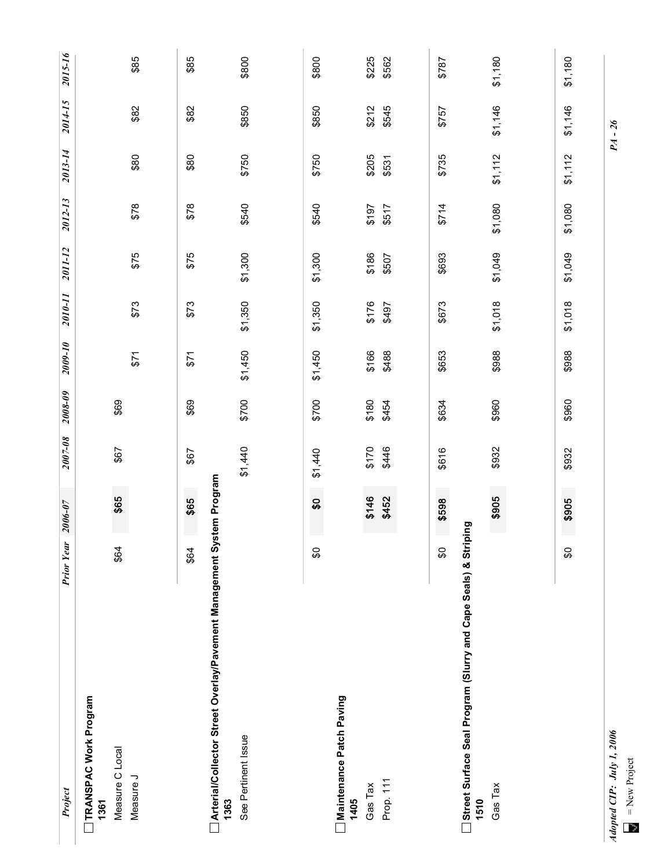| Project                                                                      | <b>Prior Year</b> | $2006 - 07$ | $2007 - 08$ | $2008 - 09$ | 2009-10 | 2010-11 | 2011-12 | 2012-13 | 2013-14 | 2014-15   | 2015-16 |
|------------------------------------------------------------------------------|-------------------|-------------|-------------|-------------|---------|---------|---------|---------|---------|-----------|---------|
| TRANSPAC Work Program<br>1361                                                |                   |             |             |             |         |         |         |         |         |           |         |
| Measure C Local                                                              | \$64              | \$65        | \$67        | \$69        |         |         |         |         |         |           |         |
| Measure J                                                                    |                   |             |             |             | \$71    | \$73    | \$75    | \$78    | \$80    | \$82      | \$85    |
|                                                                              |                   |             |             |             |         |         |         |         |         |           |         |
|                                                                              | \$64              | \$65        | \$67        | \$69        | \$71    | \$73    | \$75    | \$78    | \$80    | \$82      | \$85    |
| Arterial/Collector Street Overlay/Pavement Management System Program<br>1363 |                   |             |             |             |         |         |         |         |         |           |         |
| See Pertinent Issue                                                          |                   |             | \$1,440     | \$700       | \$1,450 | \$1,350 | \$1,300 | \$540   | \$750   | \$850     | \$800   |
|                                                                              |                   |             |             |             |         |         |         |         |         |           |         |
|                                                                              | S)                | <b>C</b>    | \$1,440     | \$700       | \$1,450 | \$1,350 | \$1,300 | \$540   | \$750   | \$850     | \$800   |
| Maintenance Patch Paving<br>1405                                             |                   |             |             |             |         |         |         |         |         |           |         |
| Gas Tax                                                                      |                   | \$146       | \$170       | \$180       | \$166   | \$176   | \$186   | \$197   | \$205   | \$212     | \$225   |
| Prop. 111                                                                    |                   | \$452       | \$446       | \$454       | \$488   | \$497   | \$507   | \$517   | \$531   | \$545     | \$562   |
|                                                                              |                   |             |             |             |         |         |         |         |         |           |         |
|                                                                              | œ                 | T.<br>\$598 | \$616       | \$634       | \$653   | \$673   | \$693   | \$714   | \$735   | \$757     | \$787   |
| Street Surface Seal Program (Slurry and Cape Seals) & Striping<br>1510       |                   |             |             |             |         |         |         |         |         |           |         |
| Gas Tax                                                                      |                   | \$905       | \$932       | \$960       | \$988   | \$1,018 | \$1,049 | \$1,080 | \$1,112 | \$1,146   | \$1,180 |
|                                                                              |                   |             |             |             |         |         |         |         |         |           |         |
|                                                                              |                   |             |             |             |         |         |         |         |         |           |         |
|                                                                              | œ                 | \$905       | \$932       | \$960       | \$988   | \$1,018 | \$1,049 | \$1,080 | \$1,112 | \$1,146   | \$1,180 |
| Adopted CIP: July 1, 2006<br>$=$ New Project                                 |                   |             |             |             |         |         |         |         |         | $PA - 26$ |         |
| $\overline{\phantom{a}}$                                                     |                   |             |             |             |         |         |         |         |         |           |         |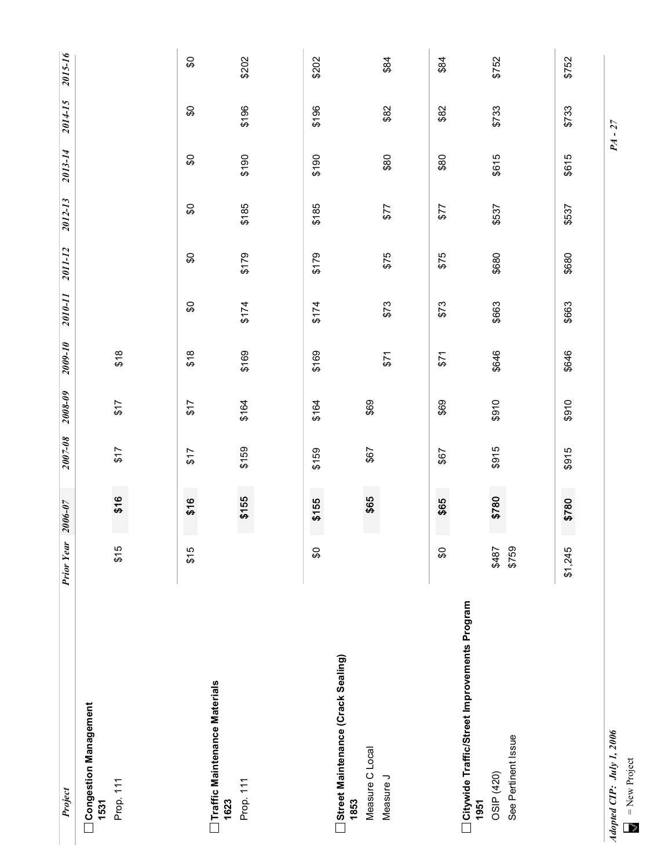| Project                                              | <b>Prior Year</b> | $2006 - 07$ | $2007 - 08$ | $2008 - 09$ | 2009-10 | 2010-11 | 2011-12        | 2012-13 | 2013-14 | 2014-15 | 2015-16 |
|------------------------------------------------------|-------------------|-------------|-------------|-------------|---------|---------|----------------|---------|---------|---------|---------|
| Congestion Management<br>1531                        |                   |             |             |             |         |         |                |         |         |         |         |
| Prop. 111                                            | \$15              | \$16        | 517         | 517         | \$18    |         |                |         |         |         |         |
|                                                      |                   |             |             |             |         |         |                |         |         |         |         |
|                                                      | \$15              | \$16        | 517         | 213         | \$18    | \$      | $\mathfrak{S}$ | \$      | \$      | \$      | œ       |
| Traffic Maintenance Materials<br>1623                |                   |             |             |             |         |         |                |         |         |         |         |
| Prop. 111                                            |                   | \$155       | \$159       | \$164       | \$169   | \$174   | \$179          | \$185   | \$190   | \$196   | \$202   |
|                                                      |                   |             |             |             |         |         |                |         |         |         |         |
|                                                      | \$                | \$155       | \$159       | \$164       | \$169   | \$174   | \$179          | \$185   | \$190   | \$196   | \$202   |
| Street Maintenance (Crack Sealing)<br>1853           |                   |             |             |             |         |         |                |         |         |         |         |
| Measure C Local                                      |                   | \$65        | \$67        | \$69        |         |         |                |         |         |         |         |
| Measure J                                            |                   |             |             |             | \$71    | \$73    | \$75           | \$77    | \$80    | \$82    | \$84    |
|                                                      | S)                | \$65        | \$67        | \$69        | \$71    | \$73    | \$75           | 577     | \$80    | \$82    | \$84    |
| Citywide Traffic/Street Improvements Program<br>1951 |                   |             |             |             |         |         |                |         |         |         |         |
| OSIP (420)                                           | \$487             | \$780       | \$915       | \$910       | \$646   | \$663   | \$680          | \$537   | \$615   | \$733   | \$752   |
| See Pertinent Issue                                  | \$759             |             |             |             |         |         |                |         |         |         |         |
|                                                      | \$1,245           | \$780       | \$915       | \$910       | \$646   | \$663   | \$680          | \$537   | \$615   | \$733   | \$752   |
|                                                      |                   |             |             |             |         |         |                |         |         |         |         |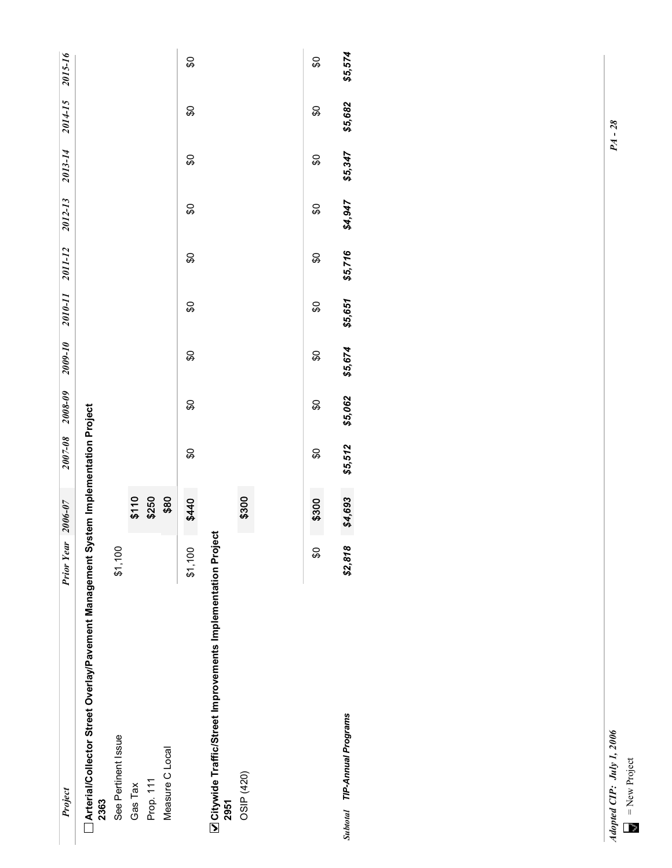| Project                                                                                            | <b>Prior Year</b> | 2006-07        |     |     | 2007-08 2008-09 2009-10 2010-11 2011-12 2012-13 2013-14 2014-15 2015-16 |     |     |   |     |   |   |
|----------------------------------------------------------------------------------------------------|-------------------|----------------|-----|-----|-------------------------------------------------------------------------|-----|-----|---|-----|---|---|
| $\Box$ Arterial/Collector Street Overlay/Pavement Management System Implementation Project<br>2363 |                   |                |     |     |                                                                         |     |     |   |     |   |   |
| See Pertinent Issue                                                                                | \$1,100           |                |     |     |                                                                         |     |     |   |     |   |   |
| Gas Tax                                                                                            |                   |                |     |     |                                                                         |     |     |   |     |   |   |
| Prop. 111                                                                                          |                   | \$110<br>\$250 |     |     |                                                                         |     |     |   |     |   |   |
| Measure C Local                                                                                    |                   | \$80           |     |     |                                                                         |     |     |   |     |   |   |
|                                                                                                    | \$1,100           | \$440          | \$O | \$O | SO                                                                      | \$O | \$O | œ | \$O | S | œ |
| <b>Z Citywide Traffic/Street Improvements Implementation Project</b><br>2951                       |                   |                |     |     |                                                                         |     |     |   |     |   |   |
| OSIP (420)                                                                                         |                   | \$300          |     |     |                                                                         |     |     |   |     |   |   |
|                                                                                                    |                   |                |     |     |                                                                         |     |     |   |     |   |   |
|                                                                                                    |                   |                |     |     |                                                                         |     |     |   |     |   |   |
|                                                                                                    | \$O               | \$300          | œ   | S   | œ                                                                       | \$O | \$O | œ | \$O | œ | œ |

Subvord TIP-Annual Programs \$5,818 \$5,818 \$5,512 \$5,624 \$5,674 \$5,651 \$5,716 \$4,947 \$5,582 \$5,574 \$5,582 \$5,682 \$5,347 \$4,947 \$5,716 \$5,674 \$5,651 \$5,062 \$2,818 \$4,693 \$5,512 Subtotal TIP-Annual Programs

\$5,574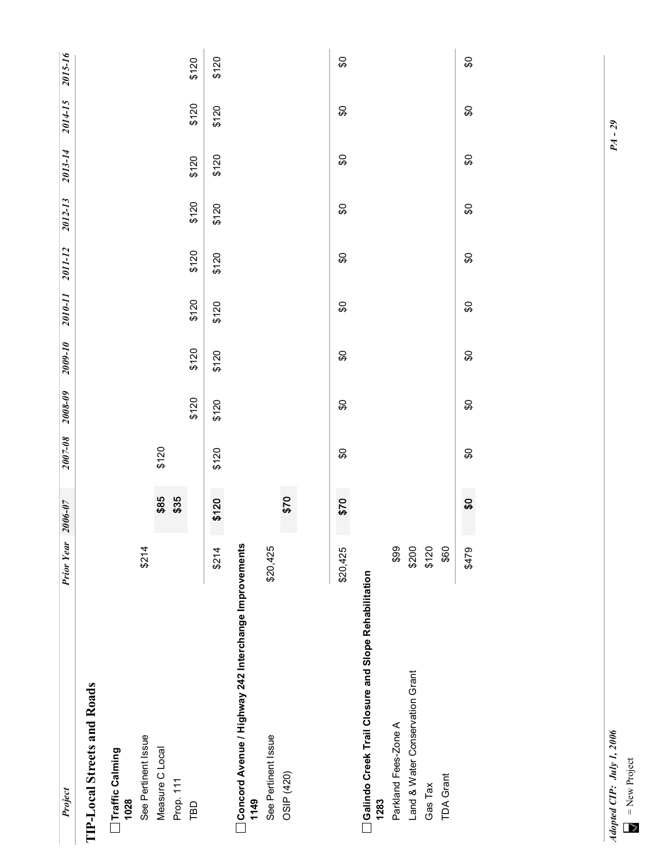| Project                                                       | <b>Prior Year</b> | $2006 - 07$  | $2007 - 08$ | $2008 - 09$ | 2009-10 2010-11 |                | 2011-12        | 2012-13 | 2013-14 | 2014-15 | 2015-16 |
|---------------------------------------------------------------|-------------------|--------------|-------------|-------------|-----------------|----------------|----------------|---------|---------|---------|---------|
| <b>TIP-Local Streets and Roads</b>                            |                   |              |             |             |                 |                |                |         |         |         |         |
| Traffic Calming<br>1028                                       |                   |              |             |             |                 |                |                |         |         |         |         |
| See Pertinent Issue                                           | \$214             |              |             |             |                 |                |                |         |         |         |         |
| Measure C Local                                               |                   | \$85<br>\$35 | \$120       |             |                 |                |                |         |         |         |         |
| Prop. 111                                                     |                   |              |             |             |                 |                |                |         |         |         |         |
| TBD                                                           |                   |              |             | \$120       | \$120           | \$120          | \$120          | \$120   | \$120   | \$120   | \$120   |
|                                                               | \$214             | \$120        | \$120       | \$120       | \$120           | \$120          | \$120          | \$120   | \$120   | \$120   | \$120   |
| Concord Avenue / Highway 242 Interchange Improvements<br>1149 |                   |              |             |             |                 |                |                |         |         |         |         |
| See Pertinent Issue                                           | \$20,425          |              |             |             |                 |                |                |         |         |         |         |
| OSIP (420)                                                    |                   | \$70         |             |             |                 |                |                |         |         |         |         |
|                                                               |                   |              |             |             |                 |                |                |         |         |         |         |
|                                                               |                   |              |             |             |                 |                |                |         |         |         |         |
|                                                               | \$20,425          | \$70         | œ           | œ           | œ               | $\mathfrak{S}$ | \$             | œ       | œ       | œ       | œ       |
| Galindo Creek Trail Closure and Slope Rehabilitation<br>1283  |                   |              |             |             |                 |                |                |         |         |         |         |
| Parkland Fees-Zone A                                          | \$99              |              |             |             |                 |                |                |         |         |         |         |
| Land & Water Conservation Grant                               | \$200             |              |             |             |                 |                |                |         |         |         |         |
| Gas Tax                                                       | \$120             |              |             |             |                 |                |                |         |         |         |         |
| <b>TDA Grant</b>                                              | \$60              |              |             |             |                 |                |                |         |         |         |         |
|                                                               | \$479             | œ            | œ           | œ           | œ               | \$             | $\mathfrak{S}$ | S       | œ       | S       | S       |
|                                                               |                   |              |             |             |                 |                |                |         |         |         |         |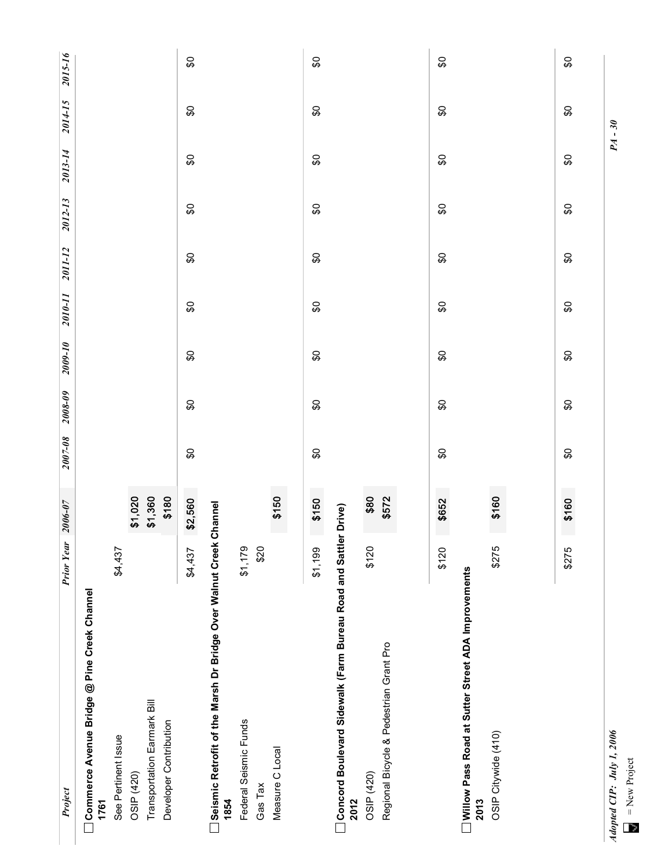| Project                                                                                                                                           | <b>Prior Year</b> | $2006 - 07$                      | $2007 - 08$ | $2008 - 09$ | 2009-10 | 2010-11 | 2011-12 | 2012-13 | 2013-14 | 2014-15        | 2015-16 |
|---------------------------------------------------------------------------------------------------------------------------------------------------|-------------------|----------------------------------|-------------|-------------|---------|---------|---------|---------|---------|----------------|---------|
| Commerce Avenue Bridge @ Pine Creek Channel<br>Transportation Earmark Bill<br>Developer Contribution<br>See Pertinent Issue<br>OSIP (420)<br>1761 | \$4,437           | \$1,020<br>\$1,360<br>\$180      |             |             |         |         |         |         |         |                |         |
| Seismic Retrofit of the Marsh Dr Bridge Over Walnut Creek Channel                                                                                 | \$4,437           | \$2,560                          | \$          | \$          | \$      | \$O     | \$O     | \$      | \$      | $\mathfrak{S}$ | S       |
| Federal Seismic Funds<br>Measure C Local<br>Gas Tax<br>1854                                                                                       | \$20<br>\$1,179   | \$150                            |             |             |         |         |         |         |         |                |         |
| Concord Boulevard Sidewalk (Farm Bureau Road and Sattler<br>Regional Bicycle & Pedestrian Grant Pro<br>OSIP (420)<br>2012                         | \$120<br>\$1,199  | \$150<br>\$80<br>\$572<br>Drive) | œ           | œ           | S       | \$O     | œ       | S)      | S       | S)             | S       |
| Willow Pass Road at Sutter Street ADA Improvements<br>OSIP Citywide (410)<br>2013                                                                 | \$275<br>\$120    | \$160<br>\$652                   | S)          | S)          | œ       | \$O     | \$O     | S)      | S)      | S)             | \$      |
|                                                                                                                                                   | \$275             | \$160                            | S)          | \$          | S       | \$      | \$O     | S       | œ       | œ              | S       |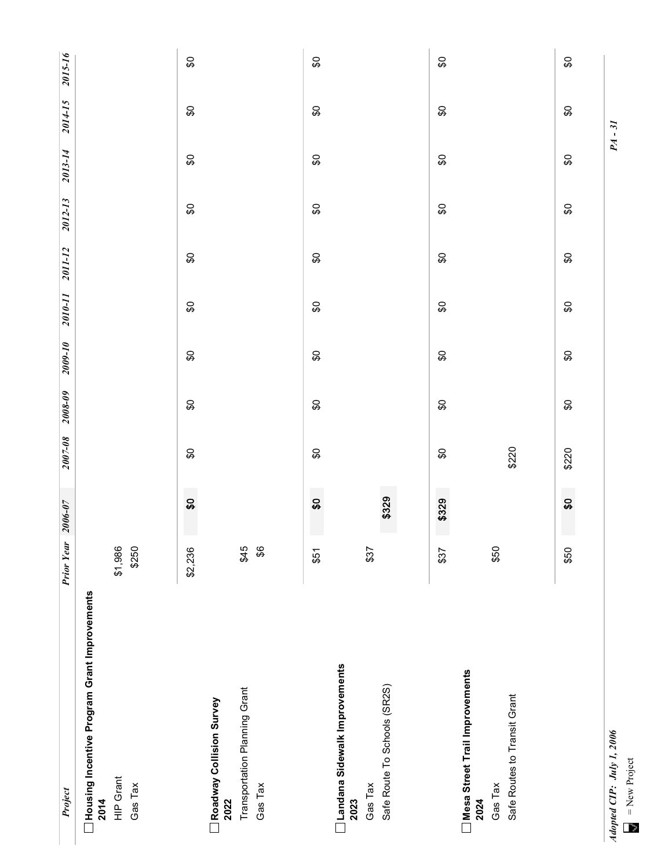| Project                                                                             | <b>Prior Year</b>           | $2006 - 07$               | $2007 - 08$ | $2008 - 09$ | $2009 - 10$ | 2010-11                   | 2011-12        | 2012-13 | 2013-14 | 2014-15 | 2015-16 |
|-------------------------------------------------------------------------------------|-----------------------------|---------------------------|-------------|-------------|-------------|---------------------------|----------------|---------|---------|---------|---------|
| Housing Incentive Program Grant Improvements<br><b>HIP Grant</b><br>Gas Tax<br>2014 | \$1,986<br>\$250            |                           |             |             |             |                           |                |         |         |         |         |
| Transportation Planning Grant<br>Roadway Collision Survey<br>2022                   | \$45<br>\$2,236             | $\boldsymbol{\mathsf{S}}$ | œ           | œ           | \$          | $\mathfrak{S}$            | \$O            | \$      | œ       | œ       | \$      |
| Gas Tax                                                                             | $\boldsymbol{\mathfrak{s}}$ |                           |             |             |             |                           |                |         |         |         |         |
| Landana Sidewalk Improvements<br>2023                                               | \$51                        | \$0                       | œ           | œ           | œ           | \$O                       | $\mathfrak{S}$ | \$      | œ       | œ       | \$      |
| Safe Route To Schools (SR2S)<br>Gas Tax                                             | \$37                        | \$329                     |             |             |             |                           |                |         |         |         |         |
| Mesa Street Trail Improvements<br>2024                                              | \$37                        | \$329                     | œ           | œ           | œ           | \$                        | \$O            | œ       | œ       | œ       | œ       |
| Safe Routes to Transit Grant<br>Gas Tax                                             | \$50                        |                           | \$220       |             |             |                           |                |         |         |         |         |
|                                                                                     | \$50                        | \$0                       | \$220       | œ           | œ           | $\boldsymbol{\mathsf{S}}$ | \$O            | œ       | \$      | \$      | œ       |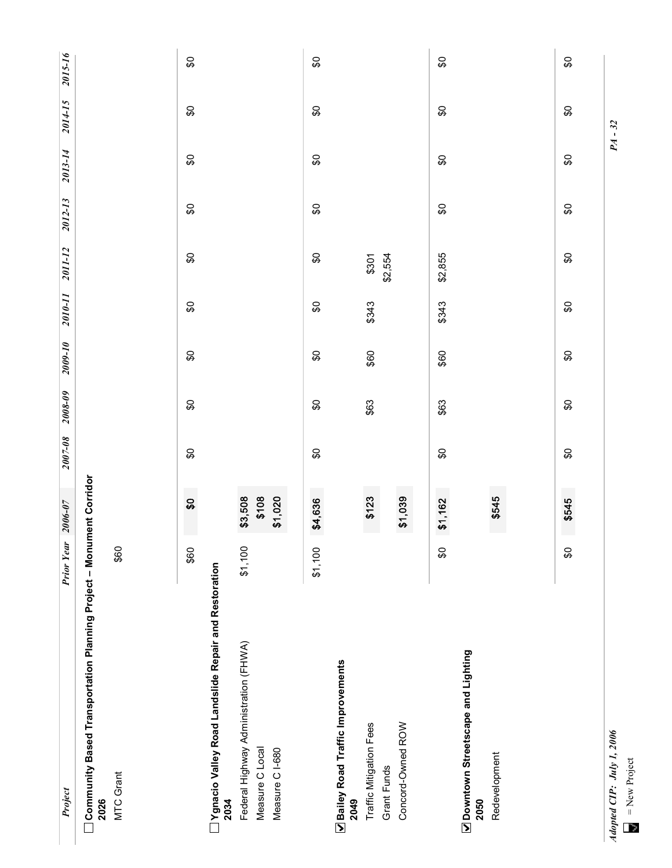| Project                                                                     | Prior Year | $2006 - 07$                 | $2007 - 08$ | $2008 - 09$         | 2009-10 | 2010-11        | 2011-12          | 2012-13 | 2013-14        | 2014-15 | 2015-16 |
|-----------------------------------------------------------------------------|------------|-----------------------------|-------------|---------------------|---------|----------------|------------------|---------|----------------|---------|---------|
| Community Based Transportation Planning Project - Monument Corridor<br>2026 |            |                             |             |                     |         |                |                  |         |                |         |         |
| MTC Grant                                                                   | \$60       |                             |             |                     |         |                |                  |         |                |         |         |
|                                                                             |            |                             |             |                     |         |                |                  |         |                |         |         |
|                                                                             | \$60       | င္တ                         | S           | S                   | S       | \$O            | \$O              | S)      | \$             | S       | S       |
| Ygnacio Valley Road Landslide Repair and Restoration<br>2034                |            |                             |             |                     |         |                |                  |         |                |         |         |
| Federal Highway Administration (FHWA)<br>Measure C Local                    | \$1,100    | \$3,508<br>\$108<br>\$1,020 |             |                     |         |                |                  |         |                |         |         |
| Measure C <sub>1-680</sub>                                                  |            |                             |             |                     |         |                |                  |         |                |         |         |
|                                                                             | \$1,100    | \$4,636                     | <b>C</b>    | œ                   | œ       | <b>C</b>       | $\mathfrak{S}$   | œ       | \$             | œ       | œ       |
| Z Bailey Road Traffic Improvements<br>2049                                  |            |                             |             |                     |         |                |                  |         |                |         |         |
| Traffic Mitigation Fees                                                     |            | \$123                       |             | \$63                | \$60    | \$343          | \$301<br>\$2,554 |         |                |         |         |
| Grant Funds                                                                 |            |                             |             |                     |         |                |                  |         |                |         |         |
| Concord-Owned ROW                                                           |            | \$1,039                     |             |                     |         |                |                  |         |                |         |         |
|                                                                             | \$O        | \$1,162                     | SO,         | \$63                | \$60    | \$343          | \$2,855          | œ       | œ              | œ       | œ       |
| Downtown Streetscape and Lighting<br>2050                                   |            |                             |             |                     |         |                |                  |         |                |         |         |
| Redevelopment                                                               |            | \$545                       |             |                     |         |                |                  |         |                |         |         |
|                                                                             |            |                             |             |                     |         |                |                  |         |                |         |         |
|                                                                             | SS,        | \$545                       | <b>C</b>    | $\pmb{\mathcal{G}}$ | œ       | $\mathfrak{S}$ | $\mathfrak{S}$   | œ       | $\mathfrak{S}$ | œ       | \$      |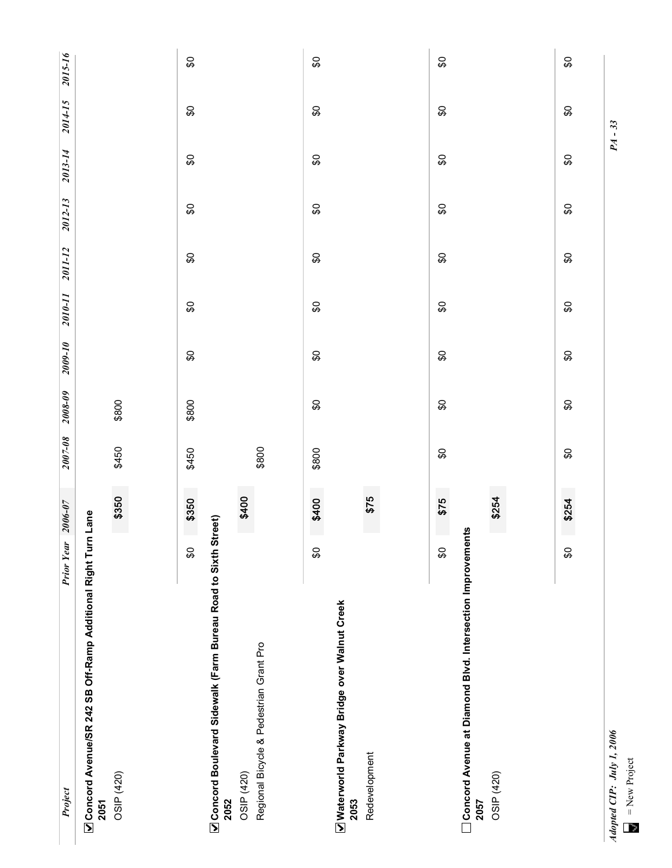| Project                                                                | <b>Prior Year</b> | $2006 - 07$ | $2007 - 08$ | $2008 - 09$ | 2009-10 | 2010-11        | 2011-12        | 2012-13 | 2013-14 | 2014-15    | 2015-16 |
|------------------------------------------------------------------------|-------------------|-------------|-------------|-------------|---------|----------------|----------------|---------|---------|------------|---------|
| O Concord Avenue/SR 242 SB Off-Ramp Additional Right Tur<br>2051       |                   | n Lane      |             |             |         |                |                |         |         |            |         |
| OSIP (420)                                                             |                   | \$350       | \$450       | \$800       |         |                |                |         |         |            |         |
|                                                                        |                   |             |             |             |         |                |                |         |         |            |         |
|                                                                        | \$                | \$350       | \$450       | \$800       | œ       | \$O            | $\mathfrak{S}$ | \$      | œ       | œ          | \$      |
| Oconcord Boulevard Sidewalk (Farm Bureau Road to Sixth Street)<br>2052 |                   |             |             |             |         |                |                |         |         |            |         |
| OSIP (420)                                                             |                   | \$400       |             |             |         |                |                |         |         |            |         |
| Regional Bicycle & Pedestrian Grant Pro                                |                   |             | \$800       |             |         |                |                |         |         |            |         |
|                                                                        |                   |             |             |             |         |                |                |         |         |            |         |
|                                                                        | œ                 | \$400       | \$800       | \$          | \$      | \$O            | \$O            | œ       | œ       | œ          | \$O     |
| Vaterworld Parkway Bridge over Walnut Creek<br>2053                    |                   |             |             |             |         |                |                |         |         |            |         |
| Redevelopment                                                          |                   | \$75        |             |             |         |                |                |         |         |            |         |
|                                                                        |                   |             |             |             |         |                |                |         |         |            |         |
|                                                                        | œ                 | \$75        | œ           | œ           | œ       | \$             | \$             | œ       | œ       | œ          | œ       |
| Concord Avenue at Diamond Blvd. Intersection Improvements<br>2057      |                   |             |             |             |         |                |                |         |         |            |         |
| OSIP (420)                                                             |                   | \$254       |             |             |         |                |                |         |         |            |         |
|                                                                        |                   |             |             |             |         |                |                |         |         |            |         |
|                                                                        | œ                 | \$254       | \$          | S           | \$      | $\mathfrak{S}$ | \$Ó            | \$      | œ       | \$         | \$      |
| Adopted CIP: July 1, 2006                                              |                   |             |             |             |         |                |                |         |         | $P_4 - 33$ |         |

*Adopted CIP: July 1, 2006*Adopted CIF: July 1, 2<br>J = New Project = New Project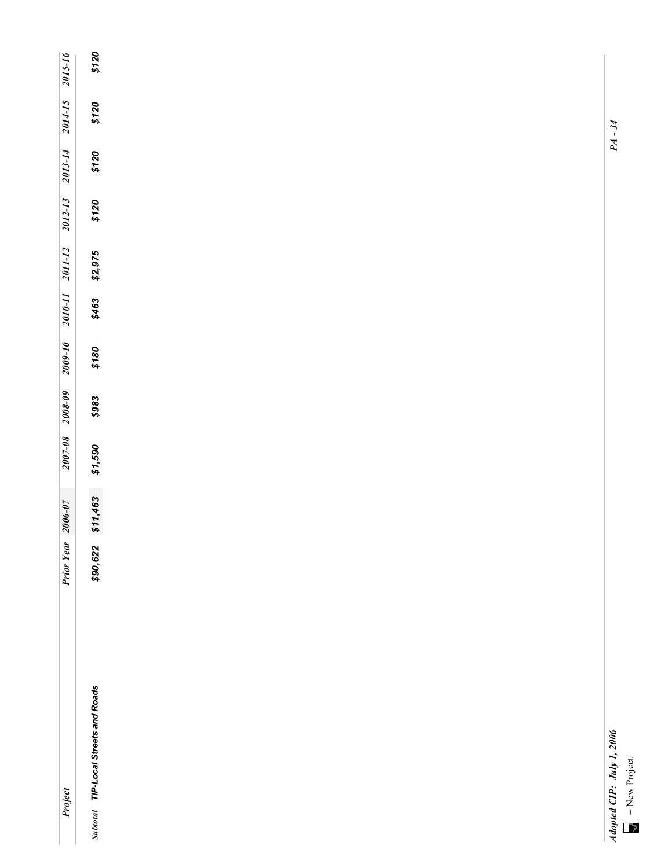|                                                           |                   |             |             | $2008 - 09$ |         | 2010-11 2011-12 |         |         |         |           |         |
|-----------------------------------------------------------|-------------------|-------------|-------------|-------------|---------|-----------------|---------|---------|---------|-----------|---------|
| Project                                                   | <b>Prior Year</b> | $2006 - 07$ | $2007 - 08$ |             | 2009-10 |                 |         | 2012-13 | 2013-14 | 2014-15   | 2015-16 |
| Subtotal TIP-Local Streets and Roads                      | \$90,622          | \$11,463    | \$1,590     | \$983       | \$180   | \$463           | \$2,975 | \$120   | \$120   | \$120     | \$120   |
|                                                           |                   |             |             |             |         |                 |         |         |         |           |         |
| Adopted CIP: July 1, 2006<br>$\blacksquare$ = New Project |                   |             |             |             |         |                 |         |         |         | $PA - 34$ |         |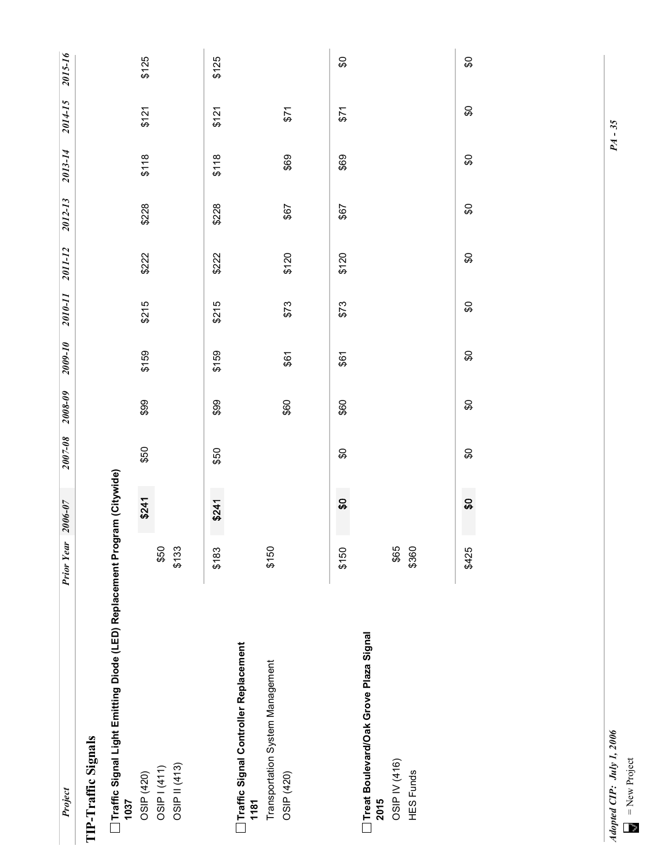| Project                                                                            | <b>Prior Year</b> | $2006 - 07$ | $2007 - 08$ | $2008 - 09$ | 2009-10 | 2010-11 | 2011-12 | 2012-13 | 2013-14 | 2014-15 | 2015-16 |
|------------------------------------------------------------------------------------|-------------------|-------------|-------------|-------------|---------|---------|---------|---------|---------|---------|---------|
| <b>TIP-Traffic Signals</b>                                                         |                   |             |             |             |         |         |         |         |         |         |         |
| ◯ Traffic Signal Light Emitting Diode (LED) Replacement Program (Citywide)<br>1037 |                   |             |             |             |         |         |         |         |         |         |         |
| OSIP (420)                                                                         |                   | \$241       | \$50        | \$99        | \$159   | \$215   | \$222   | \$228   | \$118   | \$121   | \$125   |
| OSIP 1 (411)                                                                       | \$50              |             |             |             |         |         |         |         |         |         |         |
| OSIP II (413)                                                                      | \$133             |             |             |             |         |         |         |         |         |         |         |
|                                                                                    | \$183             | \$241       | \$50        | \$99        | \$159   | \$215   | \$222   | \$228   | \$118   | \$121   | \$125   |
| Traffic Signal Controller Replacement<br>1181                                      |                   |             |             |             |         |         |         |         |         |         |         |
| Transportation System Management                                                   | \$150             |             |             |             |         |         |         |         |         |         |         |
| OSIP (420)                                                                         |                   |             |             | \$60        | \$61    | \$73    | \$120   | \$67    | \$69    | \$71    |         |
|                                                                                    |                   |             |             |             |         |         |         |         |         |         |         |
|                                                                                    | \$150             | \$          | œ           | \$60        | \$61    | \$73    | \$120   | \$67    | \$69    | \$71    | œ       |
| Treat Boulevard/Oak Grove Plaza Signal<br>2015                                     |                   |             |             |             |         |         |         |         |         |         |         |
| OSIP IV (416)                                                                      | \$65              |             |             |             |         |         |         |         |         |         |         |
| <b>HES Funds</b>                                                                   | \$360             |             |             |             |         |         |         |         |         |         |         |
|                                                                                    |                   |             |             |             |         |         |         |         |         |         |         |
|                                                                                    | \$425             | ဝ္တ         | œ           | \$O         | S)      | \$O     | \$      | œ       | œ       | œ       | S)      |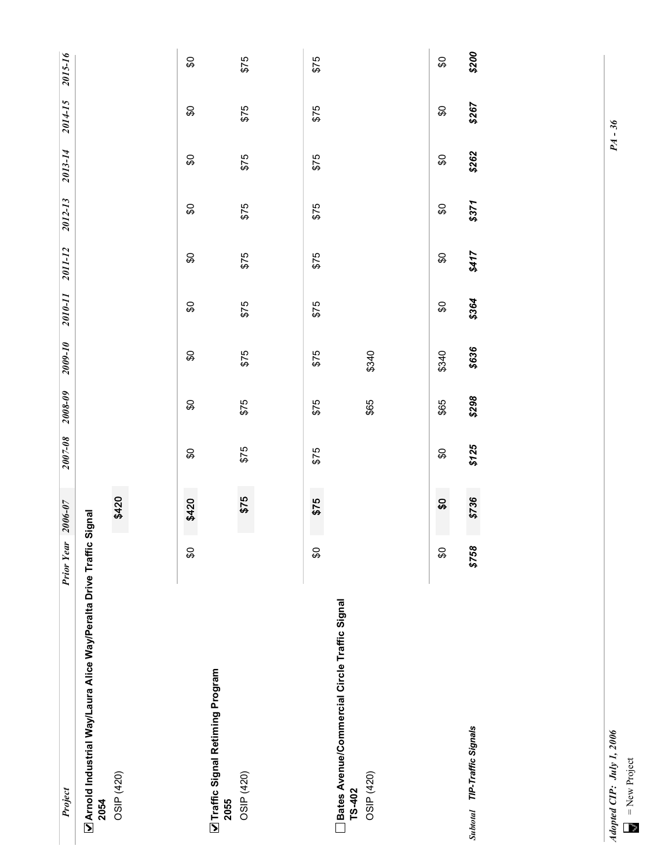| 006-07 | 90-200 | <i>008-09</i> | $11-600$ | 17-010; | <i>AII-11</i> | 2012-1 | $2013 - 14$ | 14-15 | 1-510 |
|--------|--------|---------------|----------|---------|---------------|--------|-------------|-------|-------|
|        |        |               |          |         |               |        |             |       |       |

## **Arnold Industrial Way/Laura Alice Way/Peralta Drive Traffic Signal Z** Arnold Industrial Way/Laura Alice Way/Peralta Drive Traffic Signal<br>2054

|         | ς. |
|---------|----|
| 4<br>t, | C  |

| <b>\$420</b> |  |  |
|--------------|--|--|
|              |  |  |
|              |  |  |
|              |  |  |
|              |  |  |
|              |  |  |
|              |  |  |
|              |  |  |
| OSIP (420    |  |  |
|              |  |  |

\$420

|                                                         | S   | \$420 | œ    | œ    | œ    | \$   | \$   | œ    | œ    | œ    | œ    |
|---------------------------------------------------------|-----|-------|------|------|------|------|------|------|------|------|------|
| Traffic Signal Retiming Program<br>2055                 |     |       |      |      |      |      |      |      |      |      |      |
| OSIP (420)                                              |     | \$75  | \$75 | \$75 | \$75 | \$75 | \$75 | \$75 | \$75 | \$75 | \$75 |
|                                                         |     |       |      |      |      |      |      |      |      |      |      |
|                                                         | င္တ | \$75  | \$75 | \$75 | \$75 | \$75 | \$75 | \$75 | \$75 | \$75 | \$75 |
| Bates Avenue/Commercial Circle Traffic Signal<br>TS-402 |     |       |      |      |      |      |      |      |      |      |      |

|                              | င္တ   | $\boldsymbol{\mathsf{S}}$ | \$    | \$65  | \$340 | $\boldsymbol{\mathsf{S}}$ | <b>Q\$</b> | \$    | \$O   | œ     | 9     |
|------------------------------|-------|---------------------------|-------|-------|-------|---------------------------|------------|-------|-------|-------|-------|
| Subtotal TIP-Traffic Signals | \$758 | \$736                     | \$125 | \$298 | \$636 | \$364                     | 5178       | \$371 | \$262 | \$267 | \$200 |

OSIP (420) \$65 \$340

OSIP (420)

\$340

\$65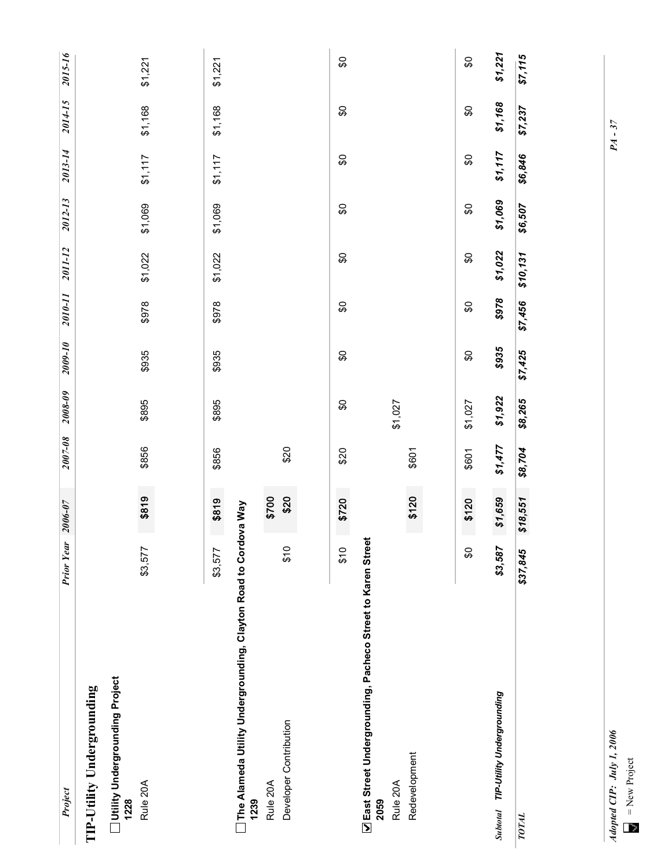| Project                                                                     | <b>Prior Year</b> | $2006 - 07$ | $2007 - 08$ | $2008 - 09$ | 2009-10 | 2010-11 | 2011-12  | 2012-13 | 2013-14 | 2014-15 | 2015-16 |
|-----------------------------------------------------------------------------|-------------------|-------------|-------------|-------------|---------|---------|----------|---------|---------|---------|---------|
| Utility Undergrounding Project<br>TIP-Utility Undergrounding<br>1228        |                   |             |             |             |         |         |          |         |         |         |         |
| Rule 20A                                                                    | \$3,577           | \$819       | \$856       | \$895       | \$935   | \$26\$  | \$1,022  | \$1,069 | \$117   | \$1,168 | \$1,221 |
|                                                                             | \$3,577           | \$819       | \$856       | \$895       | \$935   | \$26\$  | \$1,022  | \$1,069 | \$1,117 | \$1,168 | \$1,221 |
| The Alameda Utility Undergrounding, Clayton Road to Cordova Way<br>1239     |                   |             |             |             |         |         |          |         |         |         |         |
| Rule 20A                                                                    |                   | \$700       |             |             |         |         |          |         |         |         |         |
| Developer Contribution                                                      | \$10              | \$20        | \$20        |             |         |         |          |         |         |         |         |
|                                                                             |                   |             |             |             |         |         |          |         |         |         |         |
|                                                                             | 610               | \$720       | \$20        | S           | \$      | \$O     | \$O      | S       | \$      | \$O     | \$      |
| <b>V</b> East Street Undergrounding, Pacheco Street to Karen Street<br>2059 |                   |             |             |             |         |         |          |         |         |         |         |
| Rule 20A                                                                    |                   |             |             | \$1,027     |         |         |          |         |         |         |         |
| Redevelopment                                                               |                   | \$120       | \$601       |             |         |         |          |         |         |         |         |
|                                                                             | S                 | \$120       | \$601       | \$1,027     | S       | \$O     | \$O      | S       | S       | S       | œ       |
| TIP-Utility Undergrounding<br><b>Subtotal</b>                               | \$3,587           | \$1,659     | \$1,477     | \$1,922     | \$935   | \$978   | \$1,022  | \$1,069 | \$1,117 | \$1,168 | \$1,221 |
| TOTAL                                                                       | \$37,845          | \$18,551    | \$8,704     | \$8,265     | \$7,425 | \$7,456 | \$10,131 | \$6,507 | \$6,846 | \$7,237 | \$7,115 |